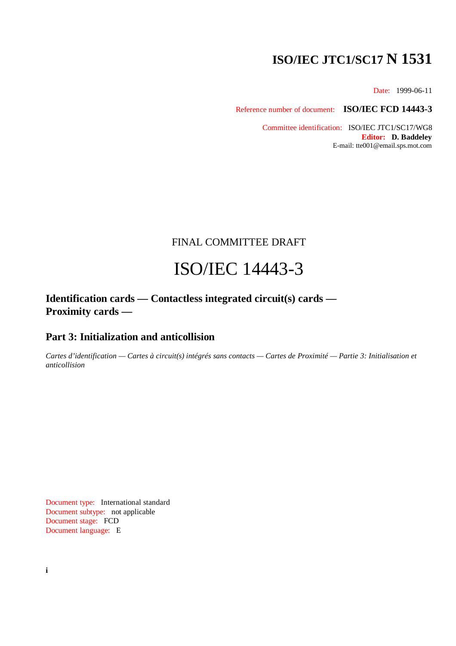# **ISO/IEC JTC1/SC17 N 1531**

Date: 1999-06-11

Reference number of document: **ISO/IEC FCD 14443-3**

Committee identification: ISO/IEC JTC1/SC17/WG8 **Editor: D. Baddeley** E-mail: tte001@email.sps.mot.com

# FINAL COMMITTEE DRAFT

# ISO/IEC 14443-3

**Identification cards — Contactless integrated circuit(s) cards — Proximity cards —**

# **Part 3: Initialization and anticollision**

*Cartes d'identification — Cartes à circuit(s) intégrés sans contacts — Cartes de Proximité — Partie 3: Initialisation et anticollision*

Document type: International standard Document subtype: not applicable Document stage: FCD Document language: E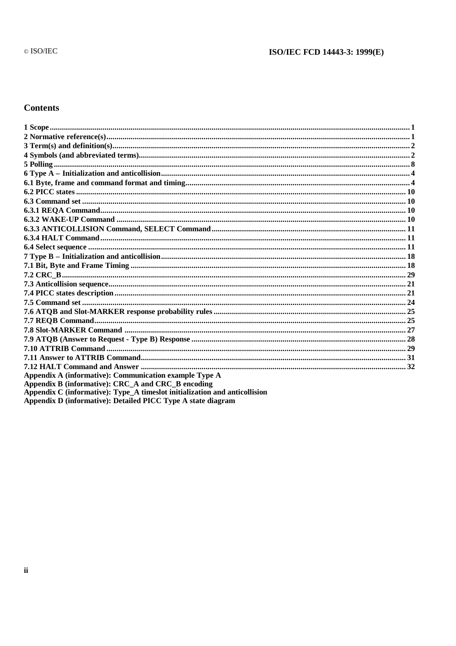# ISO/IEC FCD 14443-3: 1999(E)

# **Contents**

| Appendix A (informative): Communication example Type A                     |  |
|----------------------------------------------------------------------------|--|
| Appendix B (informative): CRC A and CRC B encoding                         |  |
| Appendix C (informative): Type A times ot initialization and anticollision |  |
| Appendix D (informative): Detailed PICC Type A state diagram               |  |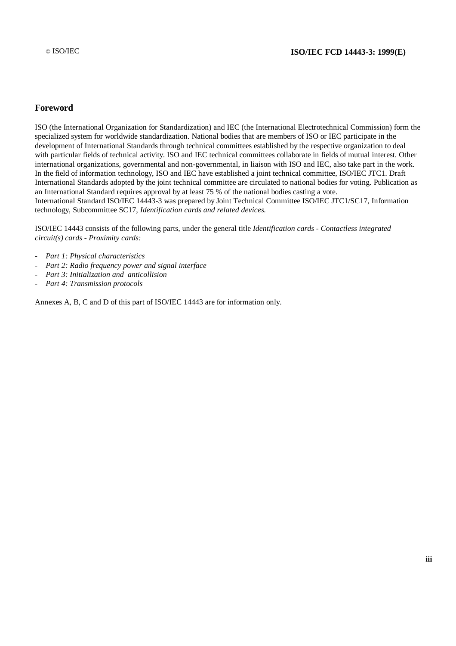# **Foreword**

ISO (the International Organization for Standardization) and IEC (the International Electrotechnical Commission) form the specialized system for worldwide standardization. National bodies that are members of ISO or IEC participate in the development of International Standards through technical committees established by the respective organization to deal with particular fields of technical activity. ISO and IEC technical committees collaborate in fields of mutual interest. Other international organizations, governmental and non-governmental, in liaison with ISO and IEC, also take part in the work. In the field of information technology, ISO and IEC have established a joint technical committee, ISO/IEC JTC1. Draft International Standards adopted by the joint technical committee are circulated to national bodies for voting. Publication as an International Standard requires approval by at least 75 % of the national bodies casting a vote. International Standard ISO/IEC 14443-3 was prepared by Joint Technical Committee ISO/IEC JTC1/SC17, Information technology, Subcommittee SC17, *Identification cards and related devices.*

ISO/IEC 14443 consists of the following parts, under the general title *Identification cards - Contactless integrated circuit(s) cards - Proximity cards:*

- *- Part 1: Physical characteristics*
- *- Part 2: Radio frequency power and signal interface*
- *- Part 3: Initialization and anticollision*
- *- Part 4: Transmission protocols*

Annexes A, B, C and D of this part of ISO/IEC 14443 are for information only.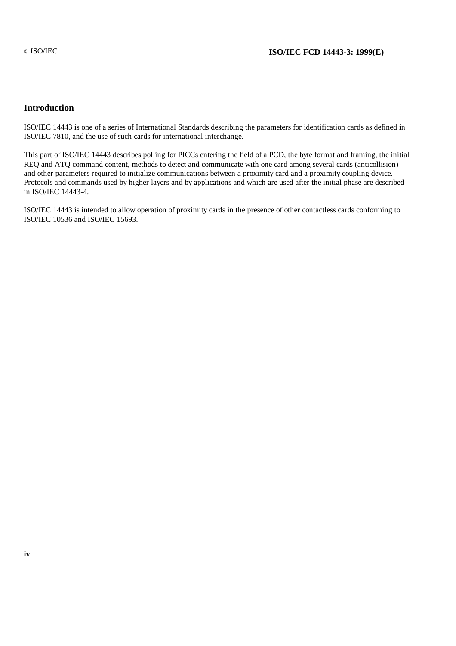# **Introduction**

ISO/IEC 14443 is one of a series of International Standards describing the parameters for identification cards as defined in ISO/IEC 7810, and the use of such cards for international interchange.

This part of ISO/IEC 14443 describes polling for PICCs entering the field of a PCD, the byte format and framing, the initial REQ and ATQ command content, methods to detect and communicate with one card among several cards (anticollision) and other parameters required to initialize communications between a proximity card and a proximity coupling device. Protocols and commands used by higher layers and by applications and which are used after the initial phase are described in ISO/IEC 14443-4.

ISO/IEC 14443 is intended to allow operation of proximity cards in the presence of other contactless cards conforming to ISO/IEC 10536 and ISO/IEC 15693.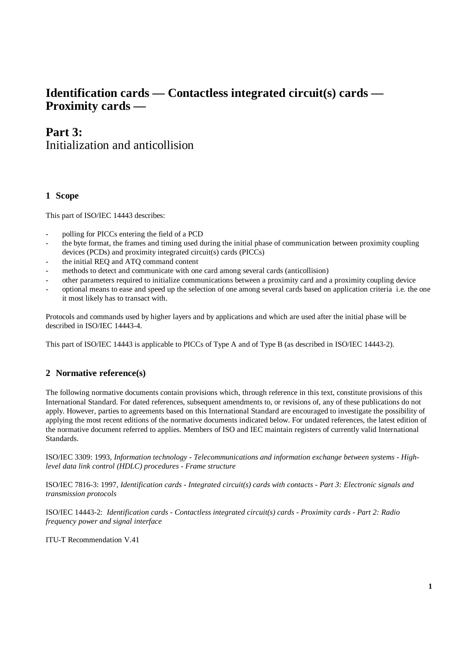# **Identification cards — Contactless integrated circuit(s) cards — Proximity cards —**

# **Part 3:** Initialization and anticollision

# **1 Scope**

This part of ISO/IEC 14443 describes:

- polling for PICCs entering the field of a PCD
- the byte format, the frames and timing used during the initial phase of communication between proximity coupling devices (PCDs) and proximity integrated circuit(s) cards (PICCs)
- the initial REQ and ATQ command content
- methods to detect and communicate with one card among several cards (anticollision)
- other parameters required to initialize communications between a proximity card and a proximity coupling device
- optional means to ease and speed up the selection of one among several cards based on application criteria i.e. the one it most likely has to transact with.

Protocols and commands used by higher layers and by applications and which are used after the initial phase will be described in ISO/IEC 14443-4.

This part of ISO/IEC 14443 is applicable to PICCs of Type A and of Type B (as described in ISO/IEC 14443-2).

# **2 Normative reference(s)**

The following normative documents contain provisions which, through reference in this text, constitute provisions of this International Standard. For dated references, subsequent amendments to, or revisions of, any of these publications do not apply. However, parties to agreements based on this International Standard are encouraged to investigate the possibility of applying the most recent editions of the normative documents indicated below. For undated references, the latest edition of the normative document referred to applies. Members of ISO and IEC maintain registers of currently valid International Standards.

ISO/IEC 3309: 1993, *Information technology - Telecommunications and information exchange between systems - Highlevel data link control (HDLC) procedures - Frame structure*

ISO/IEC 7816-3: 1997, *Identification cards - Integrated circuit(s) cards with contacts - Part 3: Electronic signals and transmission protocols*

ISO/IEC 14443-2: *Identification cards - Contactless integrated circuit(s) cards - Proximity cards - Part 2: Radio frequency power and signal interface*

ITU-T Recommendation V.41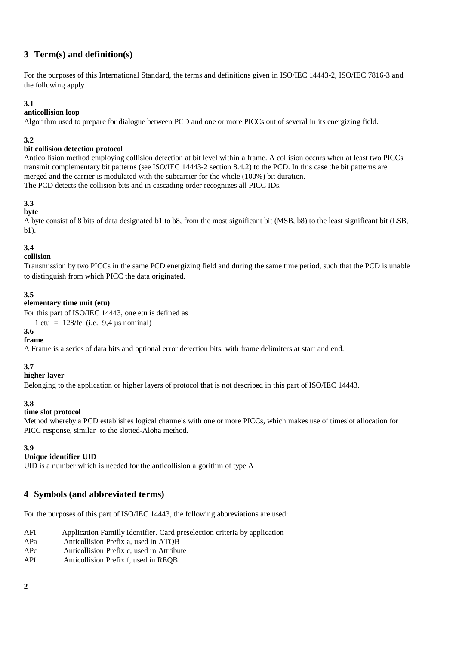# **3 Term(s) and definition(s)**

For the purposes of this International Standard, the terms and definitions given in ISO/IEC 14443-2, ISO/IEC 7816-3 and the following apply.

# **3.1**

# **anticollision loop**

Algorithm used to prepare for dialogue between PCD and one or more PICCs out of several in its energizing field.

# **3.2**

# **bit collision detection protocol**

Anticollision method employing collision detection at bit level within a frame. A collision occurs when at least two PICCs transmit complementary bit patterns (see ISO/IEC 14443-2 section 8.4.2) to the PCD. In this case the bit patterns are merged and the carrier is modulated with the subcarrier for the whole (100%) bit duration. The PCD detects the collision bits and in cascading order recognizes all PICC IDs.

# **3.3**

# **byte**

A byte consist of 8 bits of data designated b1 to b8, from the most significant bit (MSB, b8) to the least significant bit (LSB, b1).

# **3.4**

# **collision**

Transmission by two PICCs in the same PCD energizing field and during the same time period, such that the PCD is unable to distinguish from which PICC the data originated.

# **3.5**

# **elementary time unit (etu)**

For this part of ISO/IEC 14443, one etu is defined as

1 etu =  $128$ /fc (i.e. 9,4 µs nominal)

#### **3.6 frame**

A Frame is a series of data bits and optional error detection bits, with frame delimiters at start and end.

# **3.7**

# **higher layer**

Belonging to the application or higher layers of protocol that is not described in this part of ISO/IEC 14443.

# **3.8**

# **time slot protocol**

Method whereby a PCD establishes logical channels with one or more PICCs, which makes use of timeslot allocation for PICC response, similar to the slotted-Aloha method.

# **3.9**

# **Unique identifier UID**

UID is a number which is needed for the anticollision algorithm of type A

# **4 Symbols (and abbreviated terms)**

For the purposes of this part of ISO/IEC 14443, the following abbreviations are used:

| AFI | Application Familly Identifier. Card preselection criteria by application |
|-----|---------------------------------------------------------------------------|
|     |                                                                           |

- APa Anticollision Prefix a, used in ATQB
- APc Anticollision Prefix c, used in Attribute
- APf Anticollision Prefix f, used in REQB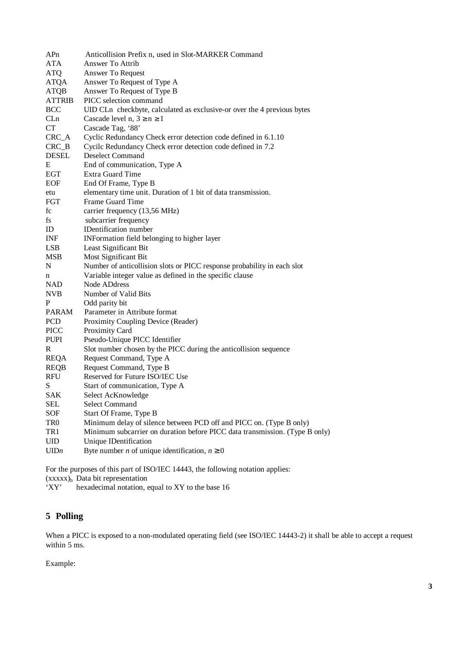| APn             | Anticollision Prefix n, used in Slot-MARKER Command                         |
|-----------------|-----------------------------------------------------------------------------|
| ATA             | Answer To Attrib                                                            |
| ATQ             | Answer To Request                                                           |
| <b>ATQA</b>     | Answer To Request of Type A                                                 |
| <b>ATQB</b>     | Answer To Request of Type B                                                 |
| <b>ATTRIB</b>   | PICC selection command                                                      |
| <b>BCC</b>      | UID CLn checkbyte, calculated as exclusive-or over the 4 previous bytes     |
| CLn             | Cascade level $n, 3 \ge n \ge 1$                                            |
| <b>CT</b>       | Cascade Tag, '88'                                                           |
| $CRC_A$         | Cyclic Redundancy Check error detection code defined in 6.1.10              |
| $CRC_B$         | Cycilc Redundancy Check error detection code defined in 7.2                 |
| <b>DESEL</b>    | <b>Deselect Command</b>                                                     |
| Ε               | End of communication, Type A                                                |
| <b>EGT</b>      | <b>Extra Guard Time</b>                                                     |
| <b>EOF</b>      | End Of Frame, Type B                                                        |
| etu             | elementary time unit. Duration of 1 bit of data transmission.               |
| FGT             | Frame Guard Time                                                            |
| fc              | carrier frequency (13,56 MHz)                                               |
| fs              | subcarrier frequency                                                        |
| ID              | IDentification number                                                       |
| INF             | INFormation field belonging to higher layer                                 |
| <b>LSB</b>      | Least Significant Bit                                                       |
| <b>MSB</b>      | Most Significant Bit                                                        |
| N               | Number of anticollision slots or PICC response probability in each slot     |
| n               | Variable integer value as defined in the specific clause                    |
| <b>NAD</b>      | Node ADdress                                                                |
| <b>NVB</b>      | Number of Valid Bits                                                        |
| P               | Odd parity bit                                                              |
| <b>PARAM</b>    | Parameter in Attribute format                                               |
| PCD             | Proximity Coupling Device (Reader)                                          |
| <b>PICC</b>     | Proximity Card                                                              |
| <b>PUPI</b>     | Pseudo-Unique PICC Identifier                                               |
| R               | Slot number chosen by the PICC during the anticollision sequence            |
| <b>REQA</b>     | Request Command, Type A                                                     |
| <b>REQB</b>     | Request Command, Type B                                                     |
| <b>RFU</b>      | Reserved for Future ISO/IEC Use                                             |
| S               | Start of communication, Type A                                              |
| <b>SAK</b>      | Select AcKnowledge                                                          |
| SEL             | <b>Select Command</b>                                                       |
| SOF             | Start Of Frame, Type B                                                      |
| TR <sub>0</sub> | Minimum delay of silence between PCD off and PICC on. (Type B only)         |
| TR1             | Minimum subcarrier on duration before PICC data transmission. (Type B only) |
| UID             | Unique IDentification                                                       |
| UIDn            | Byte number <i>n</i> of unique identification, $n \ge 0$                    |
|                 |                                                                             |

For the purposes of this part of ISO/IEC 14443, the following notation applies:  $(xxxxx)_b$  Data bit representation<br>'XY' hexadecimal notation, hexadecimal notation, equal to XY to the base 16

# **5 Polling**

When a PICC is exposed to a non-modulated operating field (see ISO/IEC 14443-2) it shall be able to accept a request within 5 ms.

Example: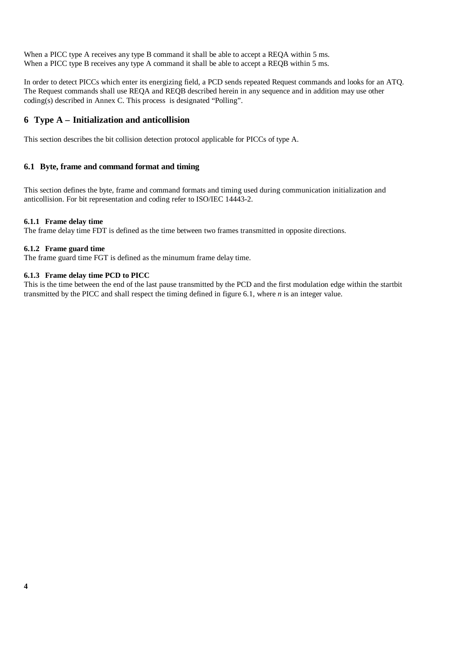When a PICC type A receives any type B command it shall be able to accept a REQA within 5 ms. When a PICC type B receives any type A command it shall be able to accept a REQB within 5 ms.

In order to detect PICCs which enter its energizing field, a PCD sends repeated Request commands and looks for an ATQ. The Request commands shall use REQA and REQB described herein in any sequence and in addition may use other coding(s) described in Annex C. This process is designated "Polling".

# **6 Type A – Initialization and anticollision**

This section describes the bit collision detection protocol applicable for PICCs of type A.

#### **6.1 Byte, frame and command format and timing**

This section defines the byte, frame and command formats and timing used during communication initialization and anticollision. For bit representation and coding refer to ISO/IEC 14443-2.

#### **6.1.1 Frame delay time**

The frame delay time FDT is defined as the time between two frames transmitted in opposite directions.

#### **6.1.2 Frame guard time**

The frame guard time FGT is defined as the minumum frame delay time.

#### **6.1.3 Frame delay time PCD to PICC**

This is the time between the end of the last pause transmitted by the PCD and the first modulation edge within the startbit transmitted by the PICC and shall respect the timing defined in figure 6.1, where *n* is an integer value.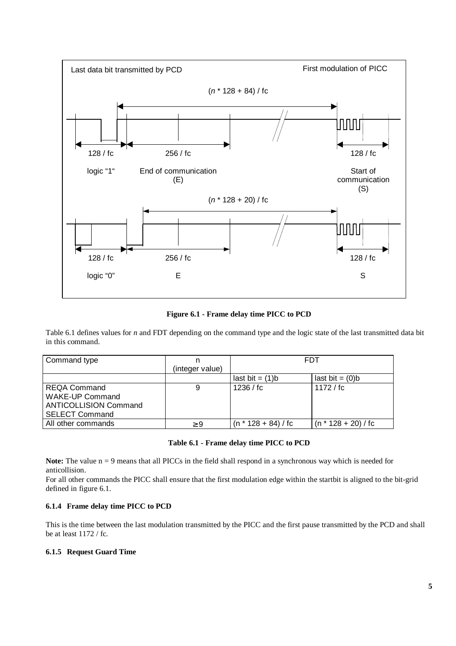

**Figure 6.1 - Frame delay time PICC to PCD**

Table 6.1 defines values for *n* and FDT depending on the command type and the logic state of the last transmitted data bit in this command.

| Command type                 |                 | <b>FDT</b>            |                       |  |  |
|------------------------------|-----------------|-----------------------|-----------------------|--|--|
|                              | (integer value) |                       |                       |  |  |
|                              |                 | last bit $= (1)b$     | last bit $= (0)b$     |  |  |
| <b>REQA Command</b>          |                 | 1236 / f c            | 1172 / fc             |  |  |
| <b>WAKE-UP Command</b>       |                 |                       |                       |  |  |
| <b>ANTICOLLISION Command</b> |                 |                       |                       |  |  |
| <b>SELECT Command</b>        |                 |                       |                       |  |  |
| All other commands           | $\geq 9$        | $(n * 128 + 84)$ / fc | $(n * 128 + 20)$ / fc |  |  |

#### **Table 6.1 - Frame delay time PICC to PCD**

**Note:** The value n = 9 means that all PICCs in the field shall respond in a synchronous way which is needed for anticollision.

For all other commands the PICC shall ensure that the first modulation edge within the startbit is aligned to the bit-grid defined in figure 6.1.

#### **6.1.4 Frame delay time PICC to PCD**

This is the time between the last modulation transmitted by the PICC and the first pause transmitted by the PCD and shall be at least 1172 / fc.

#### **6.1.5 Request Guard Time**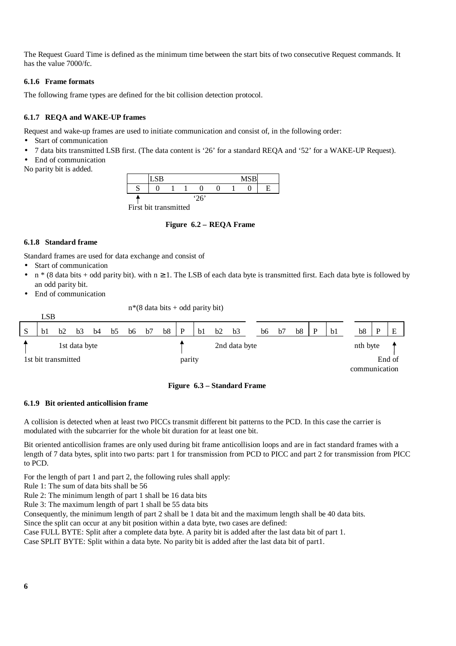The Request Guard Time is defined as the minimum time between the start bits of two consecutive Request commands. It has the value 7000/fc.

### **6.1.6 Frame formats**

The following frame types are defined for the bit collision detection protocol.

# **6.1.7 REQA and WAKE-UP frames**

Request and wake-up frames are used to initiate communication and consist of, in the following order:

- Start of communication
- 7 data bits transmitted LSB first. (The data content is '26' for a standard REQA and '52' for a WAKE-UP Request).
- End of communication
- No parity bit is added.

|        | <b>LSB</b> |      |  |  |  |  | <b>MCR</b><br><b>IVIN</b> |  |
|--------|------------|------|--|--|--|--|---------------------------|--|
| n<br>ມ |            |      |  |  |  |  |                           |  |
|        |            | '26' |  |  |  |  |                           |  |

First bit transmitted

#### **Figure 6.2 – REQA Frame**

#### **6.1.8 Standard frame**

Standard frames are used for data exchange and consist of

- Start of communication
- $n * (8$  data bits + odd parity bit). with  $n \ge 1$ . The LSB of each data byte is transmitted first. Each data byte is followed by an odd parity bit.
- End of communication

 $n*(8$  data bits + odd parity bit)



# **Figure 6.3 – Standard Frame**

#### **6.1.9 Bit oriented anticollision frame**

A collision is detected when at least two PICCs transmit different bit patterns to the PCD. In this case the carrier is modulated with the subcarrier for the whole bit duration for at least one bit.

Bit oriented anticollision frames are only used during bit frame anticollision loops and are in fact standard frames with a length of 7 data bytes, split into two parts: part 1 for transmission from PCD to PICC and part 2 for transmission from PICC to PCD.

For the length of part 1 and part 2, the following rules shall apply:

Rule 1: The sum of data bits shall be 56

- Rule 2: The minimum length of part 1 shall be 16 data bits
- Rule 3: The maximum length of part 1 shall be 55 data bits

Consequently, the minimum length of part 2 shall be 1 data bit and the maximum length shall be 40 data bits.

Since the split can occur at any bit position within a data byte, two cases are defined:

Case FULL BYTE: Split after a complete data byte. A parity bit is added after the last data bit of part 1.

Case SPLIT BYTE: Split within a data byte. No parity bit is added after the last data bit of part1.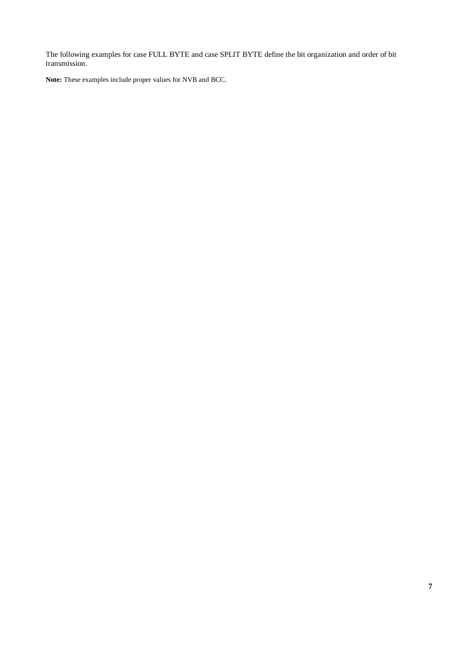The following examples for case FULL BYTE and case SPLIT BYTE define the bit organization and order of bit transmission.

**Note:** These examples include proper values for NVB and BCC.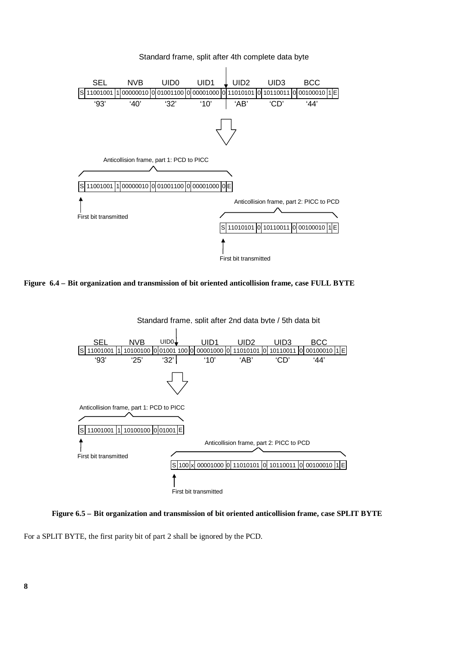





**Figure 6.5 – Bit organization and transmission of bit oriented anticollision frame, case SPLIT BYTE**

For a SPLIT BYTE, the first parity bit of part 2 shall be ignored by the PCD.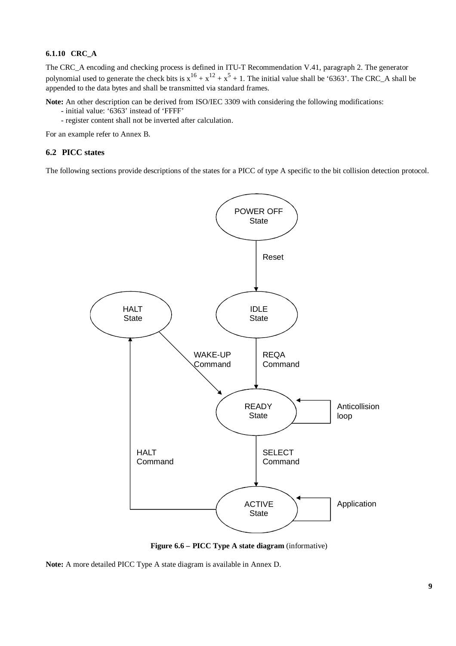#### **6.1.10 CRC\_A**

The CRC\_A encoding and checking process is defined in ITU-T Recommendation V.41, paragraph 2. The generator polynomial used to generate the check bits is  $x^{16} + x^{12} + x^5 + 1$ . The initial value shall be '6363'. The CRC\_A shall be appended to the data bytes and shall be transmitted via standard frames.

**Note:** An other description can be derived from ISO/IEC 3309 with considering the following modifications:

- initial value: '6363' instead of 'FFFF'
- register content shall not be inverted after calculation.

For an example refer to Annex B.

# **6.2 PICC states**

The following sections provide descriptions of the states for a PICC of type A specific to the bit collision detection protocol.



**Figure 6.6 – PICC Type A state diagram** (informative)

**Note:** A more detailed PICC Type A state diagram is available in Annex D.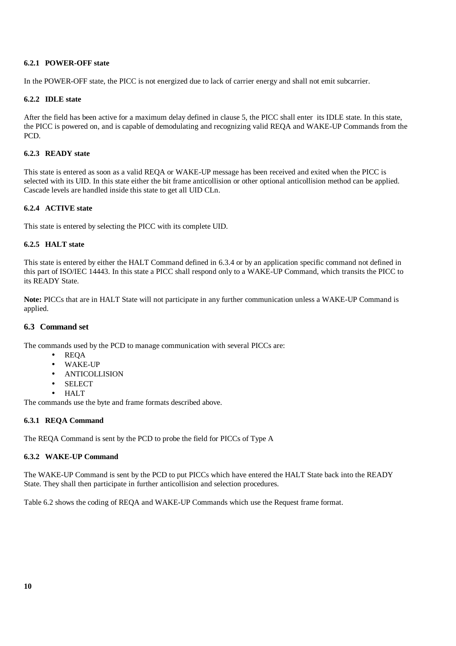#### **6.2.1 POWER-OFF state**

In the POWER-OFF state, the PICC is not energized due to lack of carrier energy and shall not emit subcarrier.

#### **6.2.2 IDLE state**

After the field has been active for a maximum delay defined in clause 5, the PICC shall enter its IDLE state. In this state, the PICC is powered on, and is capable of demodulating and recognizing valid REQA and WAKE-UP Commands from the PCD.

#### **6.2.3 READY state**

This state is entered as soon as a valid REQA or WAKE-UP message has been received and exited when the PICC is selected with its UID. In this state either the bit frame anticollision or other optional anticollision method can be applied. Cascade levels are handled inside this state to get all UID CLn.

# **6.2.4 ACTIVE state**

This state is entered by selecting the PICC with its complete UID.

#### **6.2.5 HALT state**

This state is entered by either the HALT Command defined in 6.3.4 or by an application specific command not defined in this part of ISO/IEC 14443. In this state a PICC shall respond only to a WAKE-UP Command, which transits the PICC to its READY State.

**Note:** PICCs that are in HALT State will not participate in any further communication unless a WAKE-UP Command is applied.

### **6.3 Command set**

The commands used by the PCD to manage communication with several PICCs are:

- REQA
- WAKE-UP
- ANTICOLLISION
- SELECT
- HALT

The commands use the byte and frame formats described above.

# **6.3.1 REQA Command**

The REQA Command is sent by the PCD to probe the field for PICCs of Type A

#### **6.3.2 WAKE-UP Command**

The WAKE-UP Command is sent by the PCD to put PICCs which have entered the HALT State back into the READY State. They shall then participate in further anticollision and selection procedures.

Table 6.2 shows the coding of REQA and WAKE-UP Commands which use the Request frame format.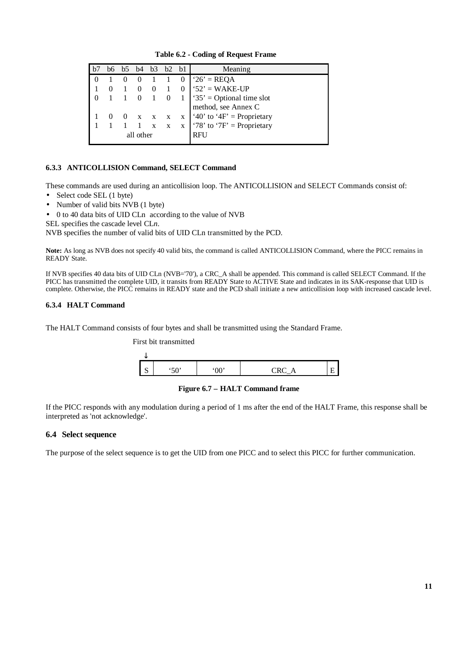|           |  |  | h4           | b3           | b2 b1        |   | Meaning                    |
|-----------|--|--|--------------|--------------|--------------|---|----------------------------|
|           |  |  |              |              |              |   | ' $26'$ = REQA             |
|           |  |  |              | $\theta$     |              |   | ' $52$ ' = WAKE-UP         |
|           |  |  |              |              |              |   | '35' = Optional time slot  |
|           |  |  |              |              |              |   | method, see Annex C        |
|           |  |  | $\mathbf{X}$ | $\mathbf{X}$ | $\mathbf{x}$ | X | '40' to '4F' = Proprietary |
|           |  |  |              | $\mathbf{x}$ | $\mathbf{x}$ | X | '78' to '7F' = Proprietary |
| all other |  |  |              |              |              |   | RFU                        |

 **Table 6.2 - Coding of Request Frame**

# **6.3.3 ANTICOLLISION Command, SELECT Command**

These commands are used during an anticollision loop. The ANTICOLLISION and SELECT Commands consist of:

- Select code SEL (1 byte)
- Number of valid bits NVB (1 byte)

• 0 to 40 data bits of UID CLn according to the value of NVB

SEL specifies the cascade level CL*n*.

NVB specifies the number of valid bits of UID CLn transmitted by the PCD.

**Note:** As long as NVB does not specify 40 valid bits, the command is called ANTICOLLISION Command, where the PICC remains in READY State.

If NVB specifies 40 data bits of UID CLn (NVB='70'), a CRC\_A shall be appended. This command is called SELECT Command. If the PICC has transmitted the complete UID, it transits from READY State to ACTIVE State and indicates in its SAK-response that UID is complete. Otherwise, the PICC remains in READY state and the PCD shall initiate a new anticollision loop with increased cascade level.

#### **6.3.4 HALT Command**

The HALT Command consists of four bytes and shall be transmitted using the Standard Frame.



**Figure 6.7 – HALT Command frame**

If the PICC responds with any modulation during a period of 1 ms after the end of the HALT Frame, this response shall be interpreted as 'not acknowledge'.

# **6.4 Select sequence**

The purpose of the select sequence is to get the UID from one PICC and to select this PICC for further communication.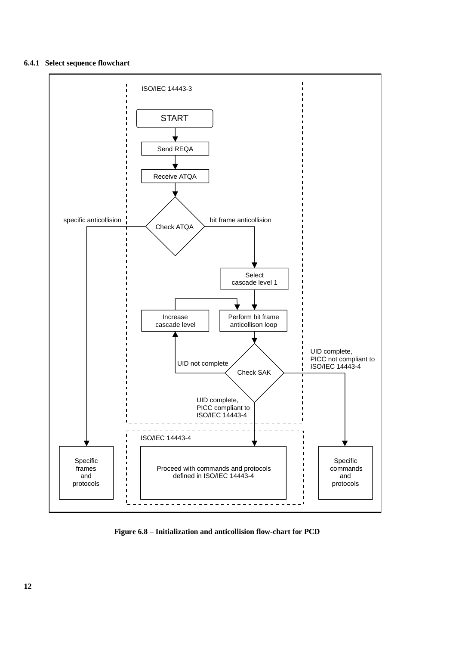# **6.4.1 Select sequence flowchart**



**Figure 6.8** – **Initialization and anticollision flow-chart for PCD**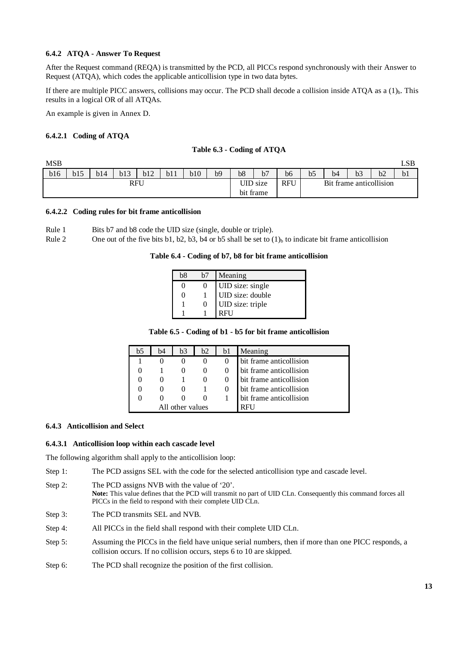#### **6.4.2 ATQA - Answer To Request**

After the Request command (REQA) is transmitted by the PCD, all PICCs respond synchronously with their Answer to Request (ATQA), which codes the applicable anticollision type in two data bytes.

If there are multiple PICC answers, collisions may occur. The PCD shall decode a collision inside ATQA as a  $(1)<sub>b</sub>$ . This results in a logical OR of all ATQAs.

An example is given in Annex D.

#### **6.4.2.1 Coding of ATQA**

| <b>MSB</b> |     |     |     |     |     |     |    |                 |            |    |                |    |                         |    | LSB |
|------------|-----|-----|-----|-----|-----|-----|----|-----------------|------------|----|----------------|----|-------------------------|----|-----|
| b16        | b15 | b14 | b13 | b12 | b11 | b10 | b9 | b <sub>8</sub>  | b7         | b6 | b <sub>5</sub> | b4 | b <sub>3</sub>          | b2 | b1  |
| RFU        |     |     |     |     |     |     |    | <b>UID</b> size | <b>RFU</b> |    |                |    | Bit frame anticollision |    |     |
|            |     |     |     |     |     |     |    |                 | bit frame  |    |                |    |                         |    |     |

#### **6.4.2.2 Coding rules for bit frame anticollision**

| Rule 1 | Bits b7 and b8 code the UID size (single, double or triple). |  |  |
|--------|--------------------------------------------------------------|--|--|
|        |                                                              |  |  |

Rule 2 One out of the five bits b1, b2, b3, b4 or b5 shall be set to  $(1)$ <sub>b</sub> to indicate bit frame anticollision

#### **Table 6.4 - Coding of b7, b8 for bit frame anticollision**

| b8 | h7 | Meaning          |
|----|----|------------------|
|    |    | UID size: single |
| 0  |    | UID size: double |
|    |    | UID size: triple |
|    |    |                  |

|  |  |  |  |  | Table 6.5 - Coding of b1 - b5 for bit frame anticollision |
|--|--|--|--|--|-----------------------------------------------------------|
|--|--|--|--|--|-----------------------------------------------------------|

| b5 | b4 | b3               | b2 | b1 | Meaning                 |
|----|----|------------------|----|----|-------------------------|
|    |    |                  |    |    | bit frame anticollision |
|    |    |                  |    |    | bit frame anticollision |
|    |    |                  |    |    | bit frame anticollision |
|    |    |                  |    |    | bit frame anticollision |
|    |    |                  |    |    | bit frame anticollision |
|    |    | All other values |    |    |                         |

#### **6.4.3 Anticollision and Select**

#### **6.4.3.1 Anticollision loop within each cascade level**

The following algorithm shall apply to the anticollision loop:

- Step 1: The PCD assigns SEL with the code for the selected anticollision type and cascade level.
- Step 2: The PCD assigns NVB with the value of '20'. **Note:** This value defines that the PCD will transmit no part of UID CLn. Consequently this command forces all PICCs in the field to respond with their complete UID CLn.
- Step 3: The PCD transmits SEL and NVB.
- Step 4: All PICCs in the field shall respond with their complete UID CLn.
- Step 5: Assuming the PICCs in the field have unique serial numbers, then if more than one PICC responds, a collision occurs. If no collision occurs, steps 6 to 10 are skipped.
- Step 6: The PCD shall recognize the position of the first collision.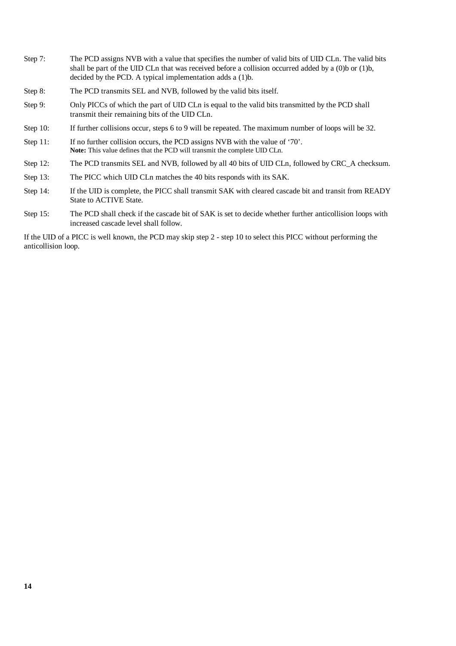- Step 7: The PCD assigns NVB with a value that specifies the number of valid bits of UID CLn. The valid bits shall be part of the UID CLn that was received before a collision occurred added by a (0)b or (1)b, decided by the PCD. A typical implementation adds a (1)b.
- Step 8: The PCD transmits SEL and NVB, followed by the valid bits itself.
- Step 9: Only PICCs of which the part of UID CLn is equal to the valid bits transmitted by the PCD shall transmit their remaining bits of the UID CLn.
- Step 10: If further collisions occur, steps 6 to 9 will be repeated. The maximum number of loops will be 32.
- Step 11: If no further collision occurs, the PCD assigns NVB with the value of '70'. **Note:** This value defines that the PCD will transmit the complete UID CLn.
- Step 12: The PCD transmits SEL and NVB, followed by all 40 bits of UID CLn, followed by CRC\_A checksum.
- Step 13: The PICC which UID CLn matches the 40 bits responds with its SAK.
- Step 14: If the UID is complete, the PICC shall transmit SAK with cleared cascade bit and transit from READY State to ACTIVE State.
- Step 15: The PCD shall check if the cascade bit of SAK is set to decide whether further anticollision loops with increased cascade level shall follow.

If the UID of a PICC is well known, the PCD may skip step 2 - step 10 to select this PICC without performing the anticollision loop.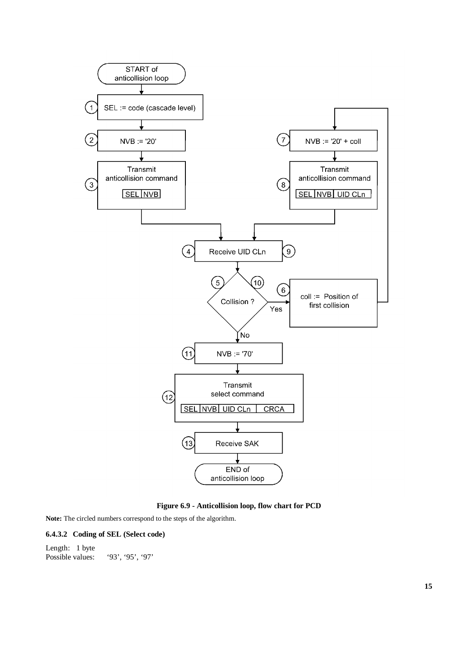

**Figure 6.9 - Anticollision loop, flow chart for PCD**

**Note:** The circled numbers correspond to the steps of the algorithm.

### **6.4.3.2 Coding of SEL (Select code)**

Length: 1 byte Possible values: '93', '95', '97'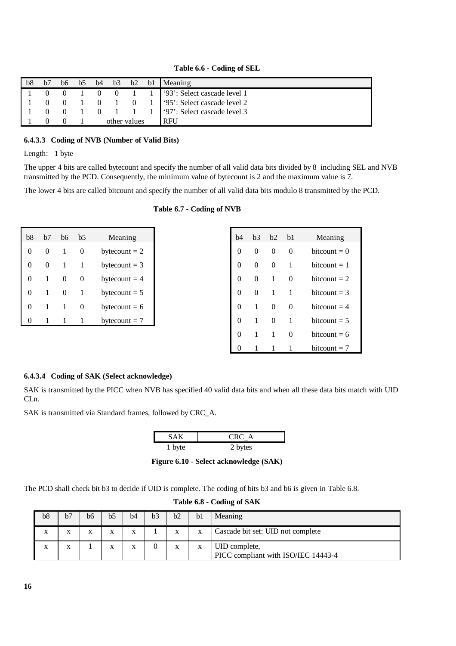**Table 6.6 - Coding of SEL**

| bb8 | b7 | b6             |                |                     |  | $b5$ $b4$ $b3$ $b2$ $b1$ Meaning                                                                 |
|-----|----|----------------|----------------|---------------------|--|--------------------------------------------------------------------------------------------------|
|     |    | $\overline{0}$ | $\overline{0}$ |                     |  | $0 \quad 1 \quad 1$ (93': Select cascade level 1)                                                |
|     |    |                |                | $0 \quad 1 \quad 0$ |  | 1 '95': Select cascade level 2                                                                   |
|     |    |                |                |                     |  | 0 1 1 1 $\frac{1}{3}$ 1 $\frac{1}{2}$ 1 $\frac{1}{2}$ 1 $\frac{1}{2}$ 97. Select cascade level 3 |
|     |    |                |                | other values        |  | <b>RFU</b>                                                                                       |

#### **6.4.3.3 Coding of NVB (Number of Valid Bits)**

Length: 1 byte

The upper 4 bits are called bytecount and specify the number of all valid data bits divided by 8 including SEL and NVB transmitted by the PCD. Consequently, the minimum value of bytecount is 2 and the maximum value is 7.

The lower 4 bits are called bitcount and specify the number of all valid data bits modulo 8 transmitted by the PCD.

| b8 | b7                | hб | b5 | Meaning         |
|----|-------------------|----|----|-----------------|
| 0  | $\mathbf{\Omega}$ |    |    | bytecount $= 2$ |
| 0  | 0                 |    |    | bytecount $=$ 3 |
| 0  |                   | 0  | 0  | bytecount $=$ 4 |
| 0  |                   | 0  |    | bytecount $=$ 5 |
| 0  |                   |    |    | bytecount $= 6$ |
| 0  |                   |    |    | bytecount $= 7$ |

| h4 | b3       | h2       | h1       | Meaning        |
|----|----------|----------|----------|----------------|
| 0  | 0        | $\Omega$ | $\Omega$ | $bitcount = 0$ |
| 0  | 0        | 0        | 1        | $bitcount = 1$ |
| 0  | 0        | 1        | $\Omega$ | bitcount $= 2$ |
| 0  | $\Omega$ | 1        | 1        | bitcount $=$ 3 |
| 0  | 1        | 0        | $\Omega$ | $bitcount = 4$ |
| 0  | 1        | $\Omega$ | 1        | bitcount $=$ 5 |
| 0  | 1        | 1        | 0        | $bitcount = 6$ |
| 0  | 1        | 1        | 1        | bitcount $= 7$ |

#### **6.4.3.4 Coding of SAK (Select acknowledge)**

SAK is transmitted by the PICC when NVB has specified 40 valid data bits and when all these data bits match with UID CLn.

SAK is transmitted via Standard frames, followed by CRC\_A.

| 5 A K  | URC A   |
|--------|---------|
| 1 byte | 2 bytes |

**Figure 6.10 - Select acknowledge (SAK)**

The PCD shall check bit b3 to decide if UID is complete. The coding of bits b3 and b6 is given in Table 6.8.

| b8 | b7 | b6 | b5 | b4 | b <sub>3</sub> | b2 | b <sub>1</sub> | Meaning                                              |
|----|----|----|----|----|----------------|----|----------------|------------------------------------------------------|
| X  |    |    |    | X  |                |    | X              | Cascade bit set: UID not complete                    |
| X  |    |    |    | X  |                |    |                | UID complete,<br>PICC compliant with ISO/IEC 14443-4 |

#### **Table 6.8 - Coding of SAK**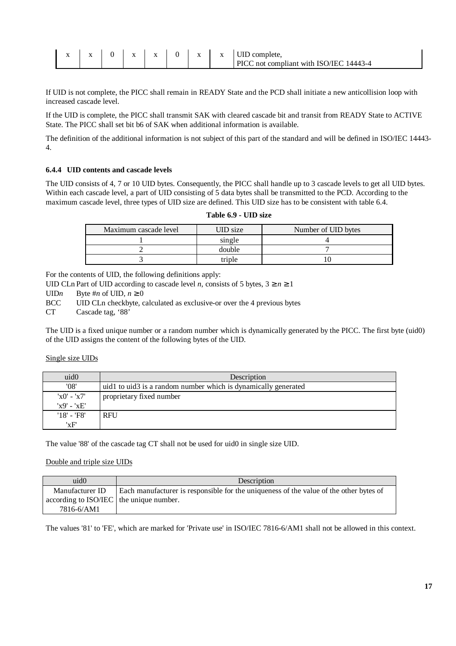| $\overline{\phantom{a}}$ | 77 | . . |  | $\mathbf{X}$ | <b>TITD</b><br>UID complete.                   |
|--------------------------|----|-----|--|--------------|------------------------------------------------|
|                          |    |     |  |              | <b>PICC</b> not compliant with ISO/IEC 14443-4 |

If UID is not complete, the PICC shall remain in READY State and the PCD shall initiate a new anticollision loop with increased cascade level.

If the UID is complete, the PICC shall transmit SAK with cleared cascade bit and transit from READY State to ACTIVE State. The PICC shall set bit b6 of SAK when additional information is available.

The definition of the additional information is not subject of this part of the standard and will be defined in ISO/IEC 14443- 4.

#### **6.4.4 UID contents and cascade levels**

The UID consists of 4, 7 or 10 UID bytes. Consequently, the PICC shall handle up to 3 cascade levels to get all UID bytes. Within each cascade level, a part of UID consisting of 5 data bytes shall be transmitted to the PCD. According to the maximum cascade level, three types of UID size are defined. This UID size has to be consistent with table 6.4.

|  |  | <b>Table 6.9 - UID size</b> |  |
|--|--|-----------------------------|--|
|--|--|-----------------------------|--|

| Maximum cascade level | <b>JID</b> size | Number of UID bytes |
|-----------------------|-----------------|---------------------|
|                       | single          |                     |
|                       | double          |                     |
|                       | triple          |                     |

For the contents of UID, the following definitions apply:

UID CLn Part of UID according to cascade level *n*, consists of 5 bytes,  $3 \ge n \ge 1$ 

UID*n* Byte #*n* of UID,  $n \ge 0$ 

BCC UID CLn checkbyte, calculated as exclusive-or over the 4 previous bytes

CT Cascade tag, '88'

The UID is a fixed unique number or a random number which is dynamically generated by the PICC. The first byte (uid0) of the UID assigns the content of the following bytes of the UID.

#### Single size UIDs

| uid <sub>0</sub> | Description                                                    |
|------------------|----------------------------------------------------------------|
| '08'             | uid1 to uid3 is a random number which is dynamically generated |
| $x0' - x7'$      | proprietary fixed number                                       |
| $'x9' - 'xE'$    |                                                                |
| $'18' - 'F8'$    | <b>RFU</b>                                                     |
| 'xF'             |                                                                |

The value '88' of the cascade tag CT shall not be used for uid0 in single size UID.

#### Double and triple size UIDs

| uid()                                   | Description                                                                            |
|-----------------------------------------|----------------------------------------------------------------------------------------|
| Manufacturer ID                         | Each manufacturer is responsible for the uniqueness of the value of the other bytes of |
| according to ISO/IEC the unique number. |                                                                                        |
| 7816-6/AM1                              |                                                                                        |

The values '81' to 'FE', which are marked for 'Private use' in ISO/IEC 7816-6/AM1 shall not be allowed in this context.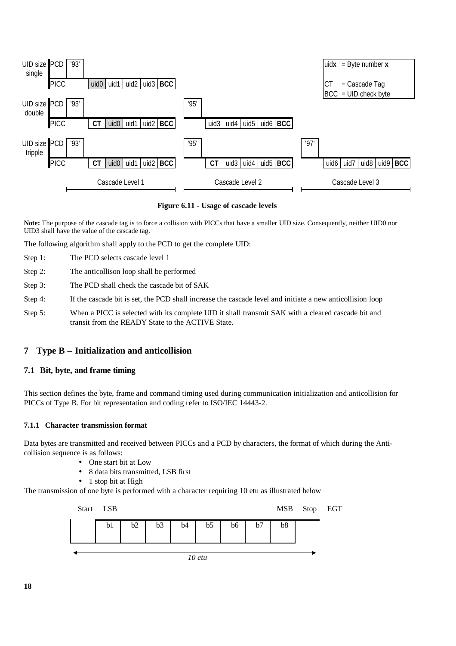

**Figure 6.11 - Usage of cascade levels**

**Note:** The purpose of the cascade tag is to force a collision with PICCs that have a smaller UID size. Consequently, neither UID0 nor UID3 shall have the value of the cascade tag.

The following algorithm shall apply to the PCD to get the complete UID:

- Step 1: The PCD selects cascade level 1
- Step 2: The anticollison loop shall be performed
- Step 3: The PCD shall check the cascade bit of SAK
- Step 4: If the cascade bit is set, the PCD shall increase the cascade level and initiate a new anticollision loop
- Step 5: When a PICC is selected with its complete UID it shall transmit SAK with a cleared cascade bit and transit from the READY State to the ACTIVE State.

# **7 Type B – Initialization and anticollision**

# **7.1 Bit, byte, and frame timing**

This section defines the byte, frame and command timing used during communication initialization and anticollision for PICCs of Type B. For bit representation and coding refer to ISO/IEC 14443-2.

#### **7.1.1 Character transmission format**

Data bytes are transmitted and received between PICCs and a PCD by characters, the format of which during the Anticollision sequence is as follows:

- One start bit at Low
- 8 data bits transmitted, LSB first
- 1 stop bit at High

The transmission of one byte is performed with a character requiring 10 etu as illustrated below

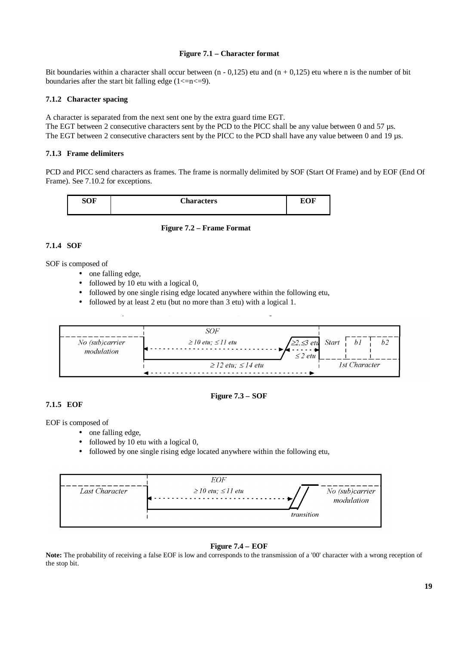#### **Figure 7.1 – Character format**

Bit boundaries within a character shall occur between  $(n - 0.125)$  etu and  $(n + 0.125)$  etu where n is the number of bit boundaries after the start bit falling edge  $(1\leq n\leq 9)$ .

### **7.1.2 Character spacing**

A character is separated from the next sent one by the extra guard time EGT.

The EGT between 2 consecutive characters sent by the PCD to the PICC shall be any value between 0 and 57 µs. The EGT between 2 consecutive characters sent by the PICC to the PCD shall have any value between 0 and 19 µs.

# **7.1.3 Frame delimiters**

PCD and PICC send characters as frames. The frame is normally delimited by SOF (Start Of Frame) and by EOF (End Of Frame). See 7.10.2 for exceptions.





# **7.1.4 SOF**

SOF is composed of

- one falling edge,
- followed by 10 etu with a logical 0,
- followed by one single rising edge located anywhere within the following etu,
- followed by at least 2 etu (but no more than 3 etu) with a logical 1.



**Figure 7.3 – SOF**

# **7.1.5 EOF**

EOF is composed of

- one falling edge,
- followed by 10 etu with a logical 0,
- followed by one single rising edge located anywhere within the following etu,



# **Figure 7.4 – EOF**

Note: The probability of receiving a false EOF is low and corresponds to the transmission of a '00' character with a wrong reception of the stop bit.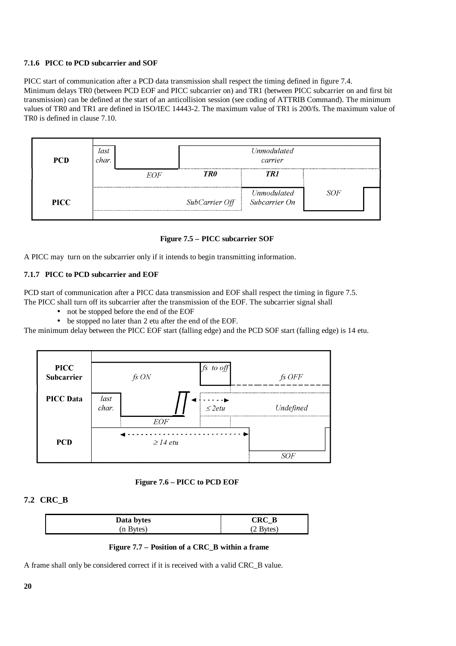### **7.1.6 PICC to PCD subcarrier and SOF**

PICC start of communication after a PCD data transmission shall respect the timing defined in figure 7.4. Minimum delays TR0 (between PCD EOF and PICC subcarrier on) and TR1 (between PICC subcarrier on and first bit transmission) can be defined at the start of an anticollision session (see coding of ATTRIB Command). The minimum values of TR0 and TR1 are defined in ISO/IEC 14443-2. The maximum value of TR1 is 200/fs. The maximum value of TR0 is defined in clause 7.10.



# **Figure 7.5 – PICC subcarrier SOF**

A PICC may turn on the subcarrier only if it intends to begin transmitting information.

# **7.1.7 PICC to PCD subcarrier and EOF**

PCD start of communication after a PICC data transmission and EOF shall respect the timing in figure 7.5. The PICC shall turn off its subcarrier after the transmission of the EOF. The subcarrier signal shall

- not be stopped before the end of the EOF
- be stopped no later than 2 etu after the end of the EOF.

The minimum delay between the PICC EOF start (falling edge) and the PCD SOF start (falling edge) is 14 etu.



 **Figure 7.6 – PICC to PCD EOF**

# **7.2 CRC\_B**

| Data bytes | CRC B              |
|------------|--------------------|
| (n Bytes)  | $(2 \text{Bytes})$ |

 **Figure 7.7 – Position of a CRC\_B within a frame**

A frame shall only be considered correct if it is received with a valid CRC\_B value.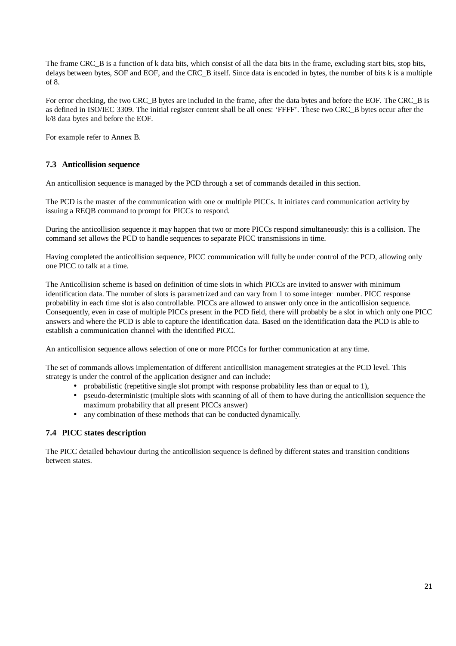The frame CRC B is a function of k data bits, which consist of all the data bits in the frame, excluding start bits, stop bits, delays between bytes, SOF and EOF, and the CRC\_B itself. Since data is encoded in bytes, the number of bits k is a multiple of 8.

For error checking, the two CRC\_B bytes are included in the frame, after the data bytes and before the EOF. The CRC\_B is as defined in ISO/IEC 3309. The initial register content shall be all ones: 'FFFF'. These two CRC\_B bytes occur after the k/8 data bytes and before the EOF.

For example refer to Annex B.

# **7.3 Anticollision sequence**

An anticollision sequence is managed by the PCD through a set of commands detailed in this section.

The PCD is the master of the communication with one or multiple PICCs. It initiates card communication activity by issuing a REQB command to prompt for PICCs to respond.

During the anticollision sequence it may happen that two or more PICCs respond simultaneously: this is a collision. The command set allows the PCD to handle sequences to separate PICC transmissions in time.

Having completed the anticollision sequence, PICC communication will fully be under control of the PCD, allowing only one PICC to talk at a time.

The Anticollision scheme is based on definition of time slots in which PICCs are invited to answer with minimum identification data. The number of slots is parametrized and can vary from 1 to some integer number. PICC response probability in each time slot is also controllable. PICCs are allowed to answer only once in the anticollision sequence. Consequently, even in case of multiple PICCs present in the PCD field, there will probably be a slot in which only one PICC answers and where the PCD is able to capture the identification data. Based on the identification data the PCD is able to establish a communication channel with the identified PICC.

An anticollision sequence allows selection of one or more PICCs for further communication at any time.

The set of commands allows implementation of different anticollision management strategies at the PCD level. This strategy is under the control of the application designer and can include:

- probabilistic (repetitive single slot prompt with response probability less than or equal to 1),
- pseudo-deterministic (multiple slots with scanning of all of them to have during the anticollision sequence the maximum probability that all present PICCs answer)
- any combination of these methods that can be conducted dynamically.

# **7.4 PICC states description**

The PICC detailed behaviour during the anticollision sequence is defined by different states and transition conditions between states.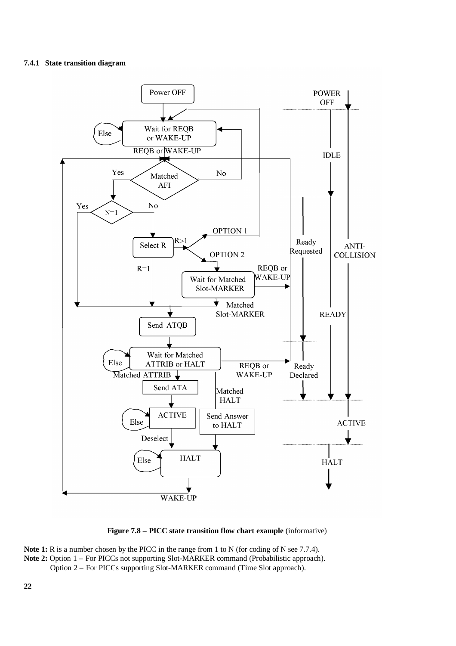# **7.4.1 State transition diagram**





Note 1: R is a number chosen by the PICC in the range from 1 to N (for coding of N see 7.7.4). Note 2: Option 1 – For PICCs not supporting Slot-MARKER command (Probabilistic approach). Option 2 – For PICCs supporting Slot-MARKER command (Time Slot approach).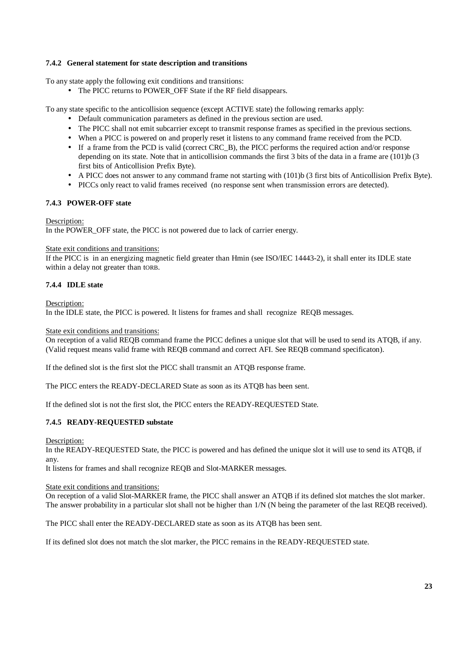### **7.4.2 General statement for state description and transitions**

To any state apply the following exit conditions and transitions:

• The PICC returns to POWER OFF State if the RF field disappears.

To any state specific to the anticollision sequence (except ACTIVE state) the following remarks apply:

- Default communication parameters as defined in the previous section are used.
- The PICC shall not emit subcarrier except to transmit response frames as specified in the previous sections.
- When a PICC is powered on and properly reset it listens to any command frame received from the PCD.
- If a frame from the PCD is valid (correct CRC B), the PICC performs the required action and/or response depending on its state. Note that in anticollision commands the first 3 bits of the data in a frame are (101)b (3 first bits of Anticollision Prefix Byte).
- A PICC does not answer to any command frame not starting with (101)b (3 first bits of Anticollision Prefix Byte).
- PICCs only react to valid frames received (no response sent when transmission errors are detected).

#### **7.4.3 POWER-OFF state**

#### Description:

In the POWER\_OFF state, the PICC is not powered due to lack of carrier energy.

#### State exit conditions and transitions:

If the PICC is in an energizing magnetic field greater than Hmin (see ISO/IEC 14443-2), it shall enter its IDLE state within a delay not greater than tORB.

# **7.4.4 IDLE state**

Description:

In the IDLE state, the PICC is powered. It listens for frames and shall recognize REQB messages.

#### State exit conditions and transitions:

On reception of a valid REQB command frame the PICC defines a unique slot that will be used to send its ATQB, if any. (Valid request means valid frame with REQB command and correct AFI. See REQB command specificaton).

If the defined slot is the first slot the PICC shall transmit an ATQB response frame.

The PICC enters the READY-DECLARED State as soon as its ATQB has been sent.

If the defined slot is not the first slot, the PICC enters the READY-REQUESTED State.

# **7.4.5 READY-REQUESTED substate**

Description:

In the READY-REQUESTED State, the PICC is powered and has defined the unique slot it will use to send its ATQB, if any.

It listens for frames and shall recognize REQB and Slot-MARKER messages.

#### State exit conditions and transitions:

On reception of a valid Slot-MARKER frame, the PICC shall answer an ATQB if its defined slot matches the slot marker. The answer probability in a particular slot shall not be higher than 1/N (N being the parameter of the last REQB received).

The PICC shall enter the READY-DECLARED state as soon as its ATQB has been sent.

If its defined slot does not match the slot marker, the PICC remains in the READY-REQUESTED state.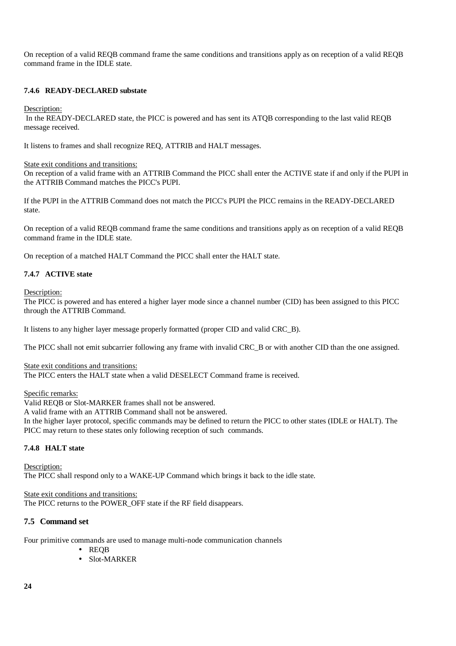On reception of a valid REQB command frame the same conditions and transitions apply as on reception of a valid REQB command frame in the IDLE state.

### **7.4.6 READY-DECLARED substate**

Description:

 In the READY-DECLARED state, the PICC is powered and has sent its ATQB corresponding to the last valid REQB message received.

It listens to frames and shall recognize REQ, ATTRIB and HALT messages.

#### State exit conditions and transitions:

On reception of a valid frame with an ATTRIB Command the PICC shall enter the ACTIVE state if and only if the PUPI in the ATTRIB Command matches the PICC's PUPI.

If the PUPI in the ATTRIB Command does not match the PICC's PUPI the PICC remains in the READY-DECLARED state.

On reception of a valid REQB command frame the same conditions and transitions apply as on reception of a valid REQB command frame in the IDLE state.

On reception of a matched HALT Command the PICC shall enter the HALT state.

#### **7.4.7 ACTIVE state**

Description:

The PICC is powered and has entered a higher layer mode since a channel number (CID) has been assigned to this PICC through the ATTRIB Command.

It listens to any higher layer message properly formatted (proper CID and valid CRC\_B).

The PICC shall not emit subcarrier following any frame with invalid CRC\_B or with another CID than the one assigned.

State exit conditions and transitions:

The PICC enters the HALT state when a valid DESELECT Command frame is received.

Specific remarks:

Valid REQB or Slot-MARKER frames shall not be answered.

A valid frame with an ATTRIB Command shall not be answered.

In the higher layer protocol, specific commands may be defined to return the PICC to other states (IDLE or HALT). The PICC may return to these states only following reception of such commands.

# **7.4.8 HALT state**

Description: The PICC shall respond only to a WAKE-UP Command which brings it back to the idle state.

State exit conditions and transitions: The PICC returns to the POWER\_OFF state if the RF field disappears.

#### **7.5 Command set**

Four primitive commands are used to manage multi-node communication channels

- REQB
- Slot-MARKER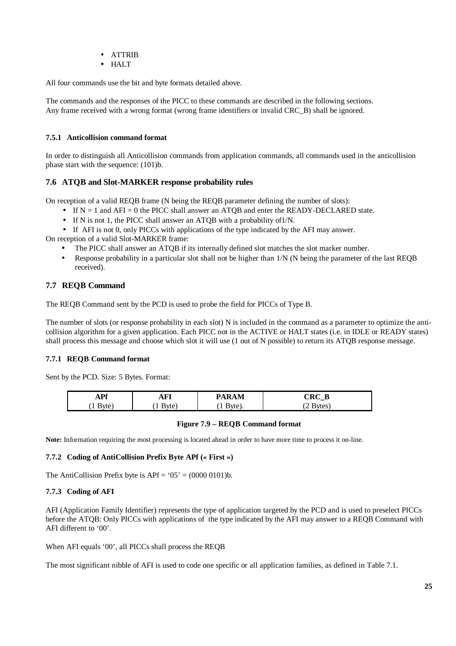- ATTRIB
- HALT

All four commands use the bit and byte formats detailed above.

The commands and the responses of the PICC to these commands are described in the following sections. Any frame received with a wrong format (wrong frame identifiers or invalid CRC\_B) shall be ignored.

# **7.5.1 Anticollision command format**

In order to distinguish all Anticollision commands from application commands, all commands used in the anticollision phase start with the sequence: (101)b.

# **7.6 ATQB and Slot-MARKER response probability rules**

On reception of a valid REQB frame (N being the REQB parameter defining the number of slots):

- If  $N = 1$  and  $AFI = 0$  the PICC shall answer an ATQB and enter the READY-DECLARED state.
- If N is not 1, the PICC shall answer an ATQB with a probability of 1/N.
- If AFI is not 0, only PICCs with applications of the type indicated by the AFI may answer.

On reception of a valid Slot-MARKER frame:

- The PICC shall answer an ATQB if its internally defined slot matches the slot marker number.
- Response probability in a particular slot shall not be higher than 1/N (N being the parameter of the last REQB received).

# **7.7 REQB Command**

The REQB Command sent by the PCD is used to probe the field for PICCs of Type B.

The number of slots (or response probability in each slot) N is included in the command as a parameter to optimize the anticollision algorithm for a given application. Each PICC not in the ACTIVE or HALT states (i.e. in IDLE or READY states) shall process this message and choose which slot it will use (1 out of N possible) to return its ATQB response message.

# **7.7.1 REQB Command format**

Sent by the PCD. Size: 5 Bytes. Format:

| <b>De</b><br> | $\sim$<br>. | <b>RAM</b><br>D۸ | ----<br>$\mathbf{r}$<br><br>$\overline{\phantom{0}}$ |
|---------------|-------------|------------------|------------------------------------------------------|
| svte<br>      | -           |                  | د ب<br>. .                                           |

# **Figure 7.9 – REQB Command format**

**Note:** Information requiring the most processing is located ahead in order to have more time to process it on-line.

#### **7.7.2 Coding of AntiCollision Prefix Byte APf (« First »)**

The AntiCollision Prefix byte is  $APf = '05' = (0000 0101)b$ .

# **7.7.3 Coding of AFI**

AFI (Application Family Identifier) represents the type of application targeted by the PCD and is used to preselect PICCs before the ATQB: Only PICCs with applications of the type indicated by the AFI may answer to a REQB Command with AFI different to '00'.

When AFI equals '00', all PICCs shall process the REQB

The most significant nibble of AFI is used to code one specific or all application families, as defined in Table 7.1.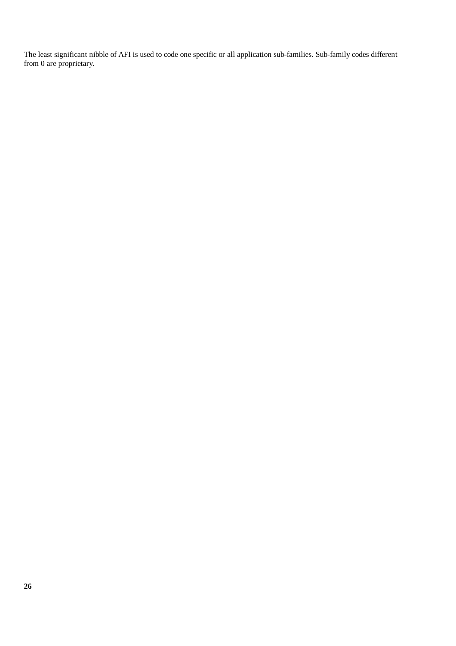The least significant nibble of AFI is used to code one specific or all application sub-families. Sub-family codes different from 0 are proprietary.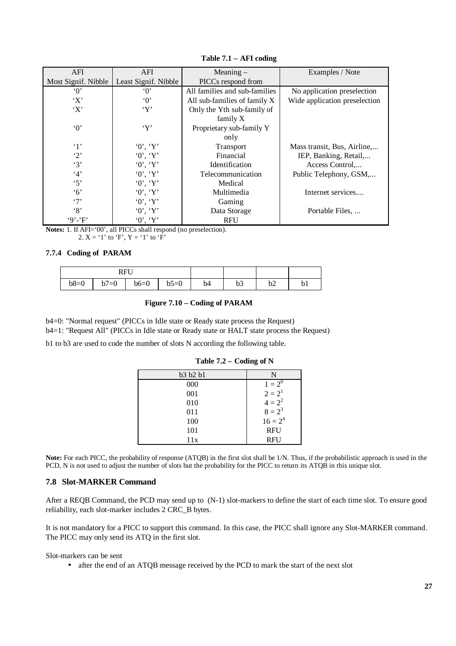| AFI                 | AFI                  | Meaning $-$                    | Examples / Note               |
|---------------------|----------------------|--------------------------------|-------------------------------|
| Most Signif. Nibble | Least Signif. Nibble | PICCs respond from             |                               |
| $\lq 0$             | $\Omega$             | All families and sub-families  | No application preselection   |
| $\cdot$ X $\cdot$   | $\Omega$             | All sub-families of family $X$ | Wide application preselection |
| $\cdot$ X $\cdot$   | $\lq Y$              | Only the Yth sub-family of     |                               |
|                     |                      | family X                       |                               |
| $\cdot 0$           | $\lq\lq Y$           | Proprietary sub-family Y       |                               |
|                     |                      | only                           |                               |
| $\cdot_1$           | 0, Y                 | Transport                      | Mass transit, Bus, Airline,   |
| $\cdot_2$           | 0, Y                 | Financial                      | IEP, Banking, Retail,         |
| $\cdot$ 3'          | $0'$ , $Y'$          | Identification                 | Access Control,               |
| 4'                  | 0, Y                 | Telecommunication              | Public Telephony, GSM,        |
| $\cdot$ 5'          | 0, Y                 | Medical                        |                               |
| $\cdot$ 6'          | 0, Y                 | Multimedia                     | Internet services             |
| $\cdot$ 7'          | 0, Y                 | Gaming                         |                               |
| $\cdot_8$           | 0, Y                 | Data Storage                   | Portable Files,               |
| $9' - F'$           | 0, Y                 | <b>RFU</b>                     |                               |

**Table 7.1 – AFI coding**

**Notes:** 1. If AFI='00', all PICCs shall respond (no preselection). 2.  $X = '1'$  to 'F',  $Y = '1'$  to 'F'

# **7.7.4 Coding of PARAM**

|        |                           | RFU    |        |    |    |    |    |
|--------|---------------------------|--------|--------|----|----|----|----|
| $b8=0$ | $\overline{ }$<br>$l = 0$ | $b6=0$ | $b5=0$ | b4 | υJ | υ∠ | bl |

# **Figure 7.10 – Coding of PARAM**

b4=0: "Normal request" (PICCs in Idle state or Ready state process the Request)

b4=1: "Request All" (PICCs in Idle state or Ready state or HALT state process the Request)

b1 to b3 are used to code the number of slots N according the following table.

| b3 b2 b1 | N          |
|----------|------------|
| 000      | $1 = 2^0$  |
| 001      | $2 = 2^1$  |
| 010      | $4 = 2^2$  |
| 011      | $8 = 2^3$  |
| 100      | $16 = 2^4$ |
| 101      | <b>RFU</b> |
| 11x      | <b>RFU</b> |

#### **Table 7.2 – Coding of N**

Note: For each PICC, the probability of response (ATQB) in the first slot shall be 1/N. Thus, if the probabilistic approach is used in the PCD, N is not used to adjust the number of slots but the probability for the PICC to return its ATQB in this unique slot.

# **7.8 Slot-MARKER Command**

After a REQB Command, the PCD may send up to (N-1) slot-markers to define the start of each time slot. To ensure good reliability, each slot-marker includes 2 CRC\_B bytes.

It is not mandatory for a PICC to support this command. In this case, the PICC shall ignore any Slot-MARKER command. The PICC may only send its ATQ in the first slot.

Slot-markers can be sent

• after the end of an ATQB message received by the PCD to mark the start of the next slot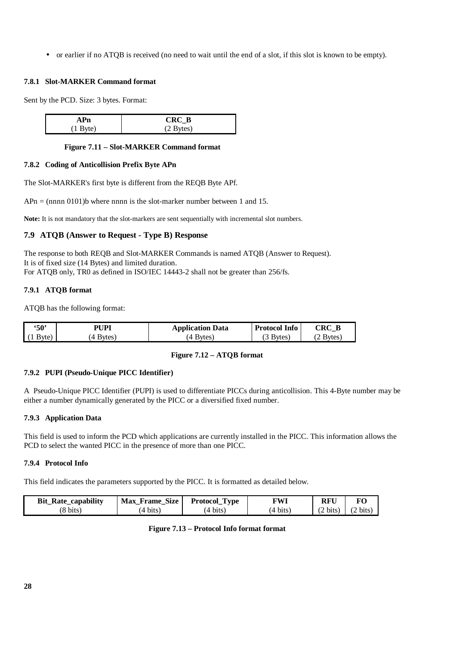• or earlier if no ATQB is received (no need to wait until the end of a slot, if this slot is known to be empty).

#### **7.8.1 Slot-MARKER Command format**

Sent by the PCD. Size: 3 bytes. Format:

| $CRC_B$ |
|---------|
| 400.    |

#### **Figure 7.11 – Slot-MARKER Command format**

#### **7.8.2 Coding of Anticollision Prefix Byte APn**

The Slot-MARKER's first byte is different from the REQB Byte APf.

 $APn = (nnnn 0101)$ b where nnnn is the slot-marker number between 1 and 15.

**Note:** It is not mandatory that the slot-markers are sent sequentially with incremental slot numbers.

# **7.9 ATQB (Answer to Request - Type B) Response**

The response to both REQB and Slot-MARKER Commands is named ATQB (Answer to Request). It is of fixed size (14 Bytes) and limited duration. For ATQB only, TR0 as defined in ISO/IEC 14443-2 shall not be greater than 256/fs.

#### **7.9.1 ATQB format**

ATQB has the following format:

| $-50^{\circ}$ | <b>PHPI</b> | <b>Application Data</b> | <b>Protocol Info</b> | CRC)               |
|---------------|-------------|-------------------------|----------------------|--------------------|
| Byte)         | Bytes       | <b>Bytes</b>            | <b>Bytes</b>         | Bytes <sub>)</sub> |

#### **Figure 7.12 – ATQB format**

#### **7.9.2 PUPI (Pseudo-Unique PICC Identifier)**

A Pseudo-Unique PICC Identifier (PUPI) is used to differentiate PICCs during anticollision. This 4-Byte number may be either a number dynamically generated by the PICC or a diversified fixed number.

#### **7.9.3 Application Data**

This field is used to inform the PCD which applications are currently installed in the PICC. This information allows the PCD to select the wanted PICC in the presence of more than one PICC.

#### **7.9.4 Protocol Info**

This field indicates the parameters supported by the PICC. It is formatted as detailed below.

| <b>Bit Rate capability</b> | <b>Size</b><br><b>Max</b><br>Frame | <b>Type</b><br>Protocol | FWI               | RFU  | FС               |
|----------------------------|------------------------------------|-------------------------|-------------------|------|------------------|
| (8 bits)                   | (4 bits)                           | bits<br>.⊿.             | bits.<br>$\Delta$ | bits | $\sqrt{2}$ bits. |

# **Figure 7.13 – Protocol Info format format**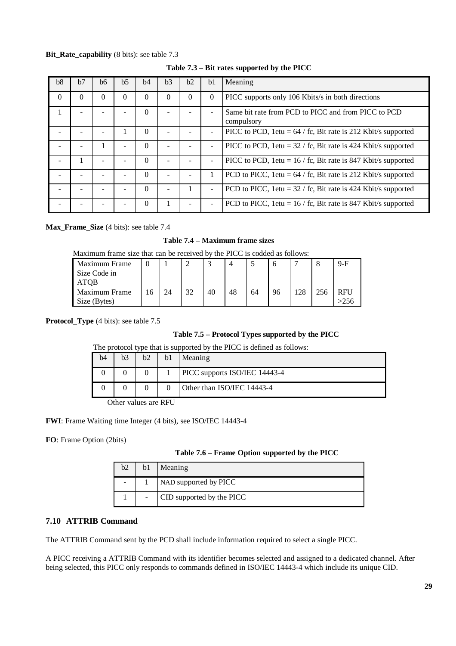# **Bit\_Rate\_capability** (8 bits): see table 7.3

| b8       | h7       | b6 | b <sub>5</sub> | b4       | b3       | b2 | b1                       | Meaning                                                            |
|----------|----------|----|----------------|----------|----------|----|--------------------------|--------------------------------------------------------------------|
| $\theta$ | $\Omega$ | 0  | $\Omega$       | 0        | $\Omega$ | 0  | $\Omega$                 | PICC supports only 106 Kbits/s in both directions                  |
|          |          |    |                | 0        |          |    |                          | Same bit rate from PCD to PICC and from PICC to PCD<br>compulsory  |
|          |          |    |                | $\Omega$ |          |    |                          | PICC to PCD, 1etu = $64 /$ fc, Bit rate is 212 Kbit/s supported    |
|          |          |    |                | $\Omega$ |          |    |                          | PICC to PCD, $1$ etu = 32 / fc, Bit rate is 424 Kbit/s supported   |
|          |          |    |                | $\Omega$ |          |    |                          | PICC to PCD, $1$ etu = $16 /$ fc, Bit rate is 847 Kbit/s supported |
|          |          |    |                | $\Omega$ |          |    |                          | PCD to PICC, $1$ etu = 64 / fc, Bit rate is 212 Kbit/s supported   |
|          |          |    |                | $\Omega$ |          |    | $\overline{\phantom{a}}$ | PCD to PICC, $1$ etu = 32 / fc, Bit rate is 424 Kbit/s supported   |
|          |          |    |                | $\Omega$ |          |    |                          | PCD to PICC, $1$ etu = $16 /$ fc, Bit rate is 847 Kbit/s supported |

### **Table 7.3 – Bit rates supported by the PICC**

**Max\_Frame\_Size** (4 bits): see table 7.4

# **Table 7.4 – Maximum frame sizes**

Maximum frame size that can be received by the PICC is codded as follows:

| Maximum Frame        |    |    |    |    |    | ت  |    |     |     | $9-F$      |
|----------------------|----|----|----|----|----|----|----|-----|-----|------------|
| Size Code in         |    |    |    |    |    |    |    |     |     |            |
| ATOB                 |    |    |    |    |    |    |    |     |     |            |
| <b>Maximum Frame</b> | .6 | 24 | 32 | 40 | 48 | 64 | 96 | 128 | 256 | <b>RFU</b> |
| Size (Bytes)         |    |    |    |    |    |    |    |     |     |            |

**Protocol\_Type** (4 bits): see table 7.5

# **Table 7.5 – Protocol Types supported by the PICC**

| The protocol type that is supported by the PICC is defined as follows: |                |    |    |                                      |  |  |  |
|------------------------------------------------------------------------|----------------|----|----|--------------------------------------|--|--|--|
| b4                                                                     | b <sub>3</sub> | b2 | b1 | Meaning                              |  |  |  |
|                                                                        |                |    |    | <b>PICC</b> supports ISO/IEC 14443-4 |  |  |  |
|                                                                        |                |    |    | Other than ISO/IEC 14443-4           |  |  |  |

Other values are RFU

**FWI**: Frame Waiting time Integer (4 bits), see ISO/IEC 14443-4

**FO**: Frame Option (2bits)

|  |  |  | Table 7.6 – Frame Option supported by the PICC |  |  |  |
|--|--|--|------------------------------------------------|--|--|--|
|--|--|--|------------------------------------------------|--|--|--|

| b2 | Meaning                   |
|----|---------------------------|
| -  | NAD supported by PICC     |
|    | CID supported by the PICC |

#### **7.10 ATTRIB Command**

The ATTRIB Command sent by the PCD shall include information required to select a single PICC.

A PICC receiving a ATTRIB Command with its identifier becomes selected and assigned to a dedicated channel. After being selected, this PICC only responds to commands defined in ISO/IEC 14443-4 which include its unique CID.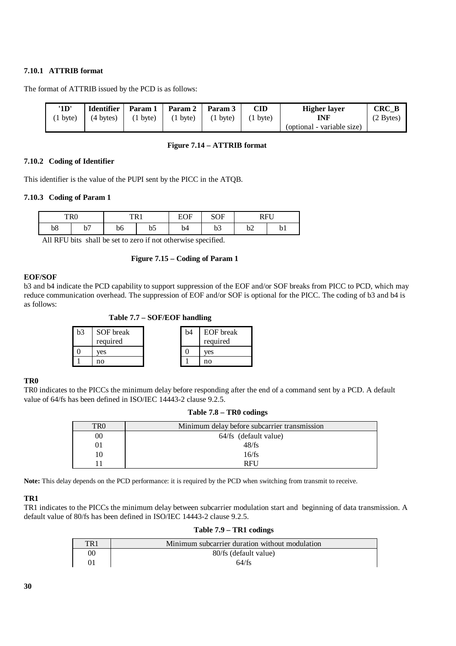# **7.10.1 ATTRIB format**

The format of ATTRIB issued by the PCD is as follows:

| '1D'               | <b>Identifier</b>   | Param 1            | Param 2 Param 3    |          | <b>CID</b>         | <b>Higher laver</b>        | CRC B     |
|--------------------|---------------------|--------------------|--------------------|----------|--------------------|----------------------------|-----------|
| $(1 \text{ byte})$ | $(4 \text{ bytes})$ | $(1 \text{ byte})$ | $(1 \text{ byte})$ | (1 byte) | $(1 \text{ byte})$ | INF                        | (2 Bytes) |
|                    |                     |                    |                    |          |                    | (optional - variable size) |           |

#### **Figure 7.14 – ATTRIB format**

#### **7.10.2 Coding of Identifier**

This identifier is the value of the PUPI sent by the PICC in the ATQB.

#### **7.10.3 Coding of Param 1**

| ™n∩ | w | TD 1 |           | $\mathbf{r}$<br>FΩ<br>ь<br>◡ | <b>SOF</b>        | DEI<br>171         |         |
|-----|---|------|-----------|------------------------------|-------------------|--------------------|---------|
| b8  | - | b6   | hF.<br>υυ | b4                           | $\sim$<br>∽<br>υJ | $h^{\alpha}$<br>∪∠ | ∽<br>υı |

All RFU bits shall be set to zero if not otherwise specified.

#### **Figure 7.15 – Coding of Param 1**

#### **EOF/SOF**

b3 and b4 indicate the PCD capability to support suppression of the EOF and/or SOF breaks from PICC to PCD, which may reduce communication overhead. The suppression of EOF and/or SOF is optional for the PICC. The coding of b3 and b4 is as follows:

 **Table 7.7 – SOF/EOF handling**

| b3 | SOF break | b4 | EOF break |
|----|-----------|----|-----------|
|    | required  |    | required  |
|    | ves       |    | ves       |
|    | no        |    | no        |

#### **TR0**

TR0 indicates to the PICCs the minimum delay before responding after the end of a command sent by a PCD. A default value of 64/fs has been defined in ISO/IEC 14443-2 clause 9.2.5.

| Table 7.8 – TR0 codings |
|-------------------------|
|                         |

| TR0 | Minimum delay before subcarrier transmission |  |  |  |
|-----|----------------------------------------------|--|--|--|
| 00  | 64/fs (default value)                        |  |  |  |
| 01  | 48/fs                                        |  |  |  |
| 10  | 16/fs                                        |  |  |  |
|     | <b>RFU</b>                                   |  |  |  |

**Note:** This delay depends on the PCD performance: it is required by the PCD when switching from transmit to receive.

#### **TR1**

TR1 indicates to the PICCs the minimum delay between subcarrier modulation start and beginning of data transmission. A default value of 80/fs has been defined in ISO/IEC 14443-2 clause 9.2.5.

#### **Table 7.9 – TR1 codings**

| TR <sub>1</sub> | Minimum subcarrier duration without modulation |
|-----------------|------------------------------------------------|
| 00              | 80/fs (default value)                          |
|                 | 64/fs                                          |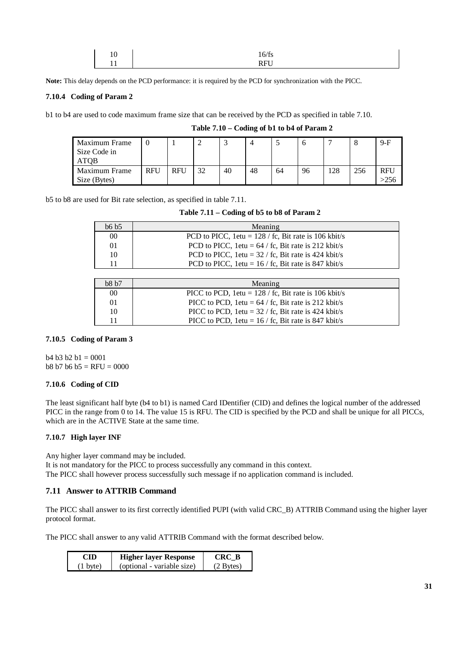| 10      | 16/fs                |
|---------|----------------------|
| $\cdot$ | <b>DEII</b><br>TAT O |

**Note:** This delay depends on the PCD performance: it is required by the PCD for synchronization with the PICC.

#### **7.10.4 Coding of Param 2**

b1 to b4 are used to code maximum frame size that can be received by the PCD as specified in table 7.10.

| Maximum Frame<br>Size Code in<br>ATOB |            |            | ∸  |    |    |    | O  |     |     | $9-F$      |
|---------------------------------------|------------|------------|----|----|----|----|----|-----|-----|------------|
| Maximum Frame                         | <b>RFU</b> | <b>RFU</b> | 32 | 40 | 48 | 64 | 96 | 128 | 256 | <b>RFU</b> |
| Size (Bytes)                          |            |            |    |    |    |    |    |     |     |            |

 **Table 7.10 – Coding of b1 to b4 of Param 2**

b5 to b8 are used for Bit rate selection, as specified in table 7.11.

| Table 7.11 – Coding of b5 to b8 of Param 2 |
|--------------------------------------------|
|                                            |

| b6 b5  | Meaning                                                   |
|--------|-----------------------------------------------------------|
| $00\,$ | PCD to PICC, $1$ etu = $128 /$ fc, Bit rate is 106 kbit/s |
| 01     | PCD to PICC, $1$ etu = 64 / fc, Bit rate is 212 kbit/s    |
| 10     | PCD to PICC, $1$ etu = 32 / fc, Bit rate is 424 kbit/s    |
| 11     | PCD to PICC, $1$ etu = $16 /$ fc, Bit rate is 847 kbit/s  |

| b8 b7 | Meaning                                                   |
|-------|-----------------------------------------------------------|
| 00    | PICC to PCD, $1$ etu = $128 /$ fc, Bit rate is 106 kbit/s |
| 01    | PICC to PCD, $1$ etu = 64 / fc, Bit rate is 212 kbit/s    |
| 10    | PICC to PCD, 1etu = $32 /$ fc, Bit rate is 424 kbit/s     |
| 11    | PICC to PCD, $1$ etu = $16 /$ fc, Bit rate is 847 kbit/s  |

#### **7.10.5 Coding of Param 3**

 $b4 b3 b2 b1 = 0001$  $b8 b7 b6 b5 = RFU = 0000$ 

#### **7.10.6 Coding of CID**

The least significant half byte (b4 to b1) is named Card IDentifier (CID) and defines the logical number of the addressed PICC in the range from 0 to 14. The value 15 is RFU. The CID is specified by the PCD and shall be unique for all PICCs, which are in the ACTIVE State at the same time.

#### **7.10.7 High layer INF**

Any higher layer command may be included. It is not mandatory for the PICC to process successfully any command in this context. The PICC shall however process successfully such message if no application command is included.

# **7.11 Answer to ATTRIB Command**

The PICC shall answer to its first correctly identified PUPI (with valid CRC\_B) ATTRIB Command using the higher layer protocol format.

The PICC shall answer to any valid ATTRIB Command with the format described below.

| CID                | <b>Higher layer Response</b> | <b>CRC B</b>       |
|--------------------|------------------------------|--------------------|
| $(1 \text{ byte})$ | (optional - variable size)   | $(2 \text{Bytes})$ |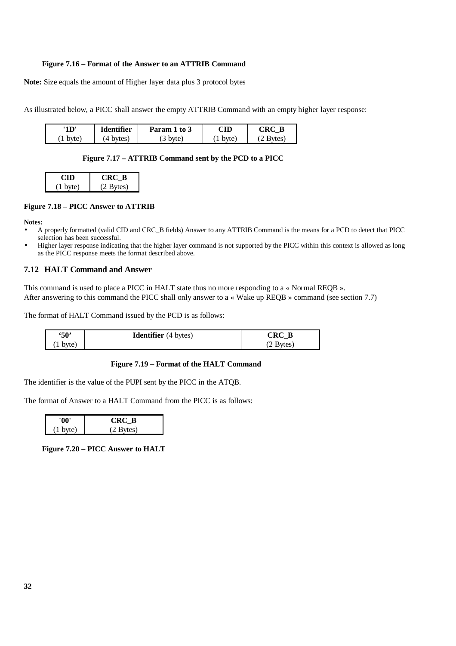#### **Figure 7.16 – Format of the Answer to an ATTRIB Command**

**Note:** Size equals the amount of Higher layer data plus 3 protocol bytes

As illustrated below, a PICC shall answer the empty ATTRIB Command with an empty higher layer response:

| 1D                    | <b>Identifier</b> | $\mathbf{to} 3$<br>Param | $\mathbb C\mathbf{ID}$ | D<br>. к′<br>D |
|-----------------------|-------------------|--------------------------|------------------------|----------------|
| byte.<br>$\mathbf{r}$ | hvtes<br>wo.      | hvte'<br>ຼ<br>◡          | byte.                  | vtes           |

#### **Figure 7.17 – ATTRIB Command sent by the PCD to a PICC**

| .                  | CRC B       |
|--------------------|-------------|
| $(1 \text{ byte})$ | $(2$ Bytes) |

#### **Figure 7.18 – PICC Answer to ATTRIB**

#### **Notes:**

- A properly formatted (valid CID and CRC\_B fields) Answer to any ATTRIB Command is the means for a PCD to detect that PICC selection has been successful.
- Higher layer response indicating that the higher layer command is not supported by the PICC within this context is allowed as long as the PICC response meets the format described above.

#### **7.12 HALT Command and Answer**

This command is used to place a PICC in HALT state thus no more responding to a « Normal REQB ». After answering to this command the PICC shall only answer to a « Wake up REQB » command (see section 7.7)

The format of HALT Command issued by the PCD is as follows:

| $\cdot$ 50' | <b>Identifier</b> (4 bytes) | $\mathbf{C}\mathbf{R}\mathbf{C}^-$ |
|-------------|-----------------------------|------------------------------------|
| $1$ byte)   |                             | Bytes)                             |

#### **Figure 7.19 – Format of the HALT Command**

The identifier is the value of the PUPI sent by the PICC in the ATQB.

The format of Answer to a HALT Command from the PICC is as follows:

|                    | RC B                |
|--------------------|---------------------|
| $(1 \text{ byte})$ | $(2 \text{ Bytes})$ |

 **Figure 7.20 – PICC Answer to HALT**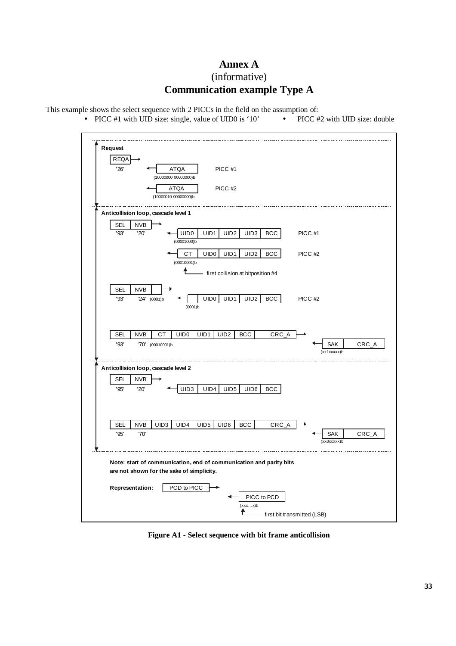# **Annex A** (informative) **Communication example Type A**

This example shows the select sequence with 2 PICCs in the field on the assumption of:

• PICC #1 with UID size: single, value of UID0 is '10' • PICC #2 with UID size: double



**Figure A1 - Select sequence with bit frame anticollision**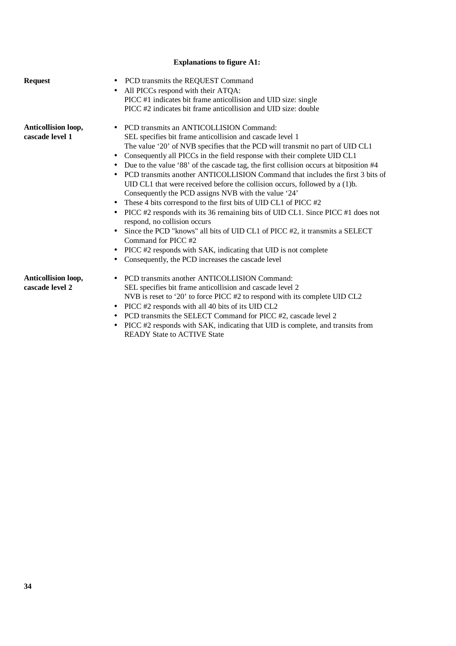# **Explanations to figure A1:**

| <b>Request</b>                         | PCD transmits the REQUEST Command<br>All PICCs respond with their ATQA:<br>PICC #1 indicates bit frame anticollision and UID size: single<br>PICC #2 indicates bit frame anticollision and UID size: double                                                                                                                                                                                                                                                                                                                                                                                                                                                                                                                                                                                                                                                                                                                                                                                                                          |
|----------------------------------------|--------------------------------------------------------------------------------------------------------------------------------------------------------------------------------------------------------------------------------------------------------------------------------------------------------------------------------------------------------------------------------------------------------------------------------------------------------------------------------------------------------------------------------------------------------------------------------------------------------------------------------------------------------------------------------------------------------------------------------------------------------------------------------------------------------------------------------------------------------------------------------------------------------------------------------------------------------------------------------------------------------------------------------------|
| Anticollision loop,<br>cascade level 1 | • PCD transmits an ANTICOLLISION Command:<br>SEL specifies bit frame anticollision and cascade level 1<br>The value '20' of NVB specifies that the PCD will transmit no part of UID CL1<br>Consequently all PICCs in the field response with their complete UID CL1<br>Due to the value '88' of the cascade tag, the first collision occurs at bitposition #4<br>PCD transmits another ANTICOLLISION Command that includes the first 3 bits of<br>$\bullet$<br>UID CL1 that were received before the collision occurs, followed by a (1)b.<br>Consequently the PCD assigns NVB with the value '24'<br>• These 4 bits correspond to the first bits of UID CL1 of PICC $#2$<br>PICC #2 responds with its 36 remaining bits of UID CL1. Since PICC #1 does not<br>$\bullet$<br>respond, no collision occurs<br>Since the PCD "knows" all bits of UID CL1 of PICC #2, it transmits a SELECT<br>Command for PICC#2<br>PICC #2 responds with SAK, indicating that UID is not complete<br>Consequently, the PCD increases the cascade level |
| Anticollision loop,<br>cascade level 2 | PCD transmits another ANTICOLLISION Command:<br>SEL specifies bit frame anticollision and cascade level 2<br>NVB is reset to '20' to force PICC #2 to respond with its complete UID CL2<br>PICC #2 responds with all 40 bits of its UID CL2<br>$\bullet$<br>• PCD transmits the SELECT Command for PICC #2, cascade level 2<br>• PICC $\#$ ? responds with SAK indicating that HID is complete, and transits from                                                                                                                                                                                                                                                                                                                                                                                                                                                                                                                                                                                                                    |

CC #2 responds with SAK, indicating that UID is complete, and transits from READY State to ACTIVE State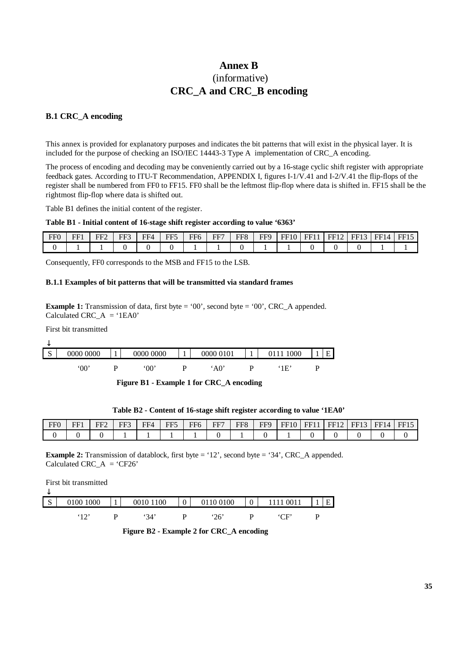# **Annex B** (informative) **CRC\_A and CRC\_B encoding**

# **B.1 CRC\_A encoding**

This annex is provided for explanatory purposes and indicates the bit patterns that will exist in the physical layer. It is included for the purpose of checking an ISO/IEC 14443-3 Type A implementation of CRC\_A encoding.

The process of encoding and decoding may be conveniently carried out by a 16-stage cyclic shift register with appropriate feedback gates. According to ITU-T Recommendation, APPENDIX I, figures I-1/V.41 and I-2/V.41 the flip-flops of the register shall be numbered from FF0 to FF15. FF0 shall be the leftmost flip-flop where data is shifted in. FF15 shall be the rightmost flip-flop where data is shifted out.

Table B1 defines the initial content of the register.

#### **Table B1 - Initial content of 16-stage shift register according to value '6363'**

| FF <sub>0</sub> | EF1 | $EF$ ? | EE?<br>ຼ | FF4 | <b>TIP</b><br>66. | FF6 | FF | FF <sub>8</sub> | <b>FFQ</b> | FF10 | FF11 | FF12 | FF <sub>12</sub><br>╶≺ | FF14 | FF15 |
|-----------------|-----|--------|----------|-----|-------------------|-----|----|-----------------|------------|------|------|------|------------------------|------|------|
|                 |     |        |          |     |                   |     |    |                 |            |      |      |      |                        |      |      |

Consequently, FF0 corresponds to the MSB and FF15 to the LSB.

#### **B.1.1 Examples of bit patterns that will be transmitted via standard frames**

**Example 1:** Transmission of data, first byte = '00', second byte = '00', CRC\_A appended. Calculated CRC  $A = '1EAO'$ 

First bit transmitted

| ◡           |           |   |           |           |                             |   |  |
|-------------|-----------|---|-----------|-----------|-----------------------------|---|--|
| $\sim$<br>N | 0000 0000 |   | 0000 0000 | 0000 0101 | 1000<br>J111 °              | Е |  |
|             | .00.      | D | .00.      | 'AO'      | $^{\circ}1\mathrm{E}$<br>⊥⊥ |   |  |

 **Figure B1 - Example 1 for CRC\_A encoding**

| FFO<br>. . | ${\bf F}{\bf F}1$ | $FF^c$ | FF3<br>. . | FF/ | FF5<br>ຼ<br>. . | FF6<br>ີ | FF7<br>. . | FF8 | FFQ | FF10 | EF1 | FF12 | FF <sub>1</sub> | THE ST<br>FFI4 | TT1F<br><b>HH</b> |
|------------|-------------------|--------|------------|-----|-----------------|----------|------------|-----|-----|------|-----|------|-----------------|----------------|-------------------|
|            |                   |        |            |     |                 |          |            |     |     |      |     |      |                 |                |                   |

**Example 2:** Transmission of datablock, first byte = '12', second byte = '34', CRC\_A appended. Calculated CRC\_ $A = 'CF26'$ 

| ╰        | First bit transmitted |           |                |               |                |             |   |   |
|----------|-----------------------|-----------|----------------|---------------|----------------|-------------|---|---|
| G<br>- 2 | 0100 1000             | 0010 1100 | $\overline{0}$ | 0110 0100     | $\overline{0}$ |             |   | E |
|          | .12                   | 34'       |                | $^{\circ}26'$ |                | ' $\cap$ F' | D |   |

 **Figure B2 - Example 2 for CRC\_A encoding**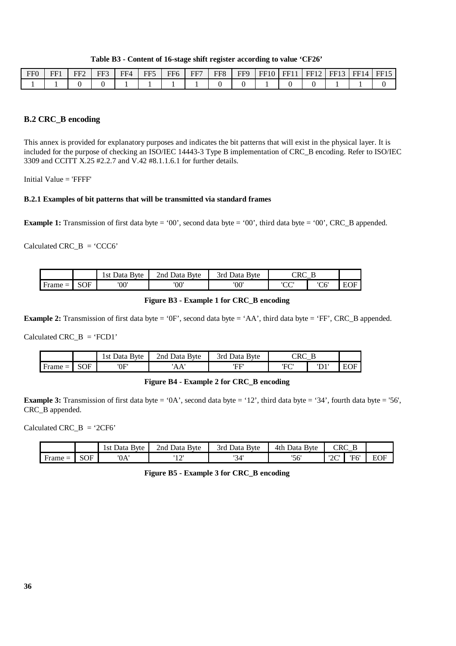|  |  |  | Table B3 - Content of 16-stage shift register according to value 'CF26' |
|--|--|--|-------------------------------------------------------------------------|
|  |  |  |                                                                         |

| FF <sub>0</sub> | FF1 | $FF^{\sim}$ | FF3 | FE4 | $\mathbf{F} \mathbf{F}$ | FF6<br>$\overline{\phantom{a}}$ | FF7 | FF8 | <b>FFQ</b> | FF10 | EF1 | FF<br>ΠZ | EF1 | FF14 | FF15 |
|-----------------|-----|-------------|-----|-----|-------------------------|---------------------------------|-----|-----|------------|------|-----|----------|-----|------|------|
|                 |     |             |     |     |                         |                                 |     |     |            |      |     |          |     |      |      |

### **B.2 CRC\_B encoding**

This annex is provided for explanatory purposes and indicates the bit patterns that will exist in the physical layer. It is included for the purpose of checking an ISO/IEC 14443-3 Type B implementation of CRC\_B encoding. Refer to ISO/IEC 3309 and CCITT X.25 #2.2.7 and V.42 #8.1.1.6.1 for further details.

Initial Value  $=$  'FFFF'

#### **B.2.1 Examples of bit patterns that will be transmitted via standard frames**

**Example 1:** Transmission of first data byte = '00', second data byte = '00', third data byte = '00', CRC\_B appended.

Calculated  $CRC\_B = 'CCC6'$ 

|                     |            | <b>B</b> vte<br>Data<br>l st | <b>B</b> yte<br>2nd<br>Data | 3rd<br><b>B</b> yte<br>Data |             |      |     |
|---------------------|------------|------------------------------|-----------------------------|-----------------------------|-------------|------|-----|
| <b>Frame</b><br>$=$ | <b>SOF</b> | '00'                         | '00'                        | '00'                        | $\sim$<br>U | 'C6' | EOI |

#### **Figure B3 - Example 1 for CRC\_B encoding**

**Example 2:** Transmission of first data byte = '0F', second data byte = 'AA', third data byte = 'FF', CRC\_B appended.

Calculated CRC  $B = 'FCD1'$ 

|                                        |                | <b>Byte</b><br>. st<br>Jata | 2nd<br>Data<br>Byte  | <b>B</b> yte<br>3rd<br>')ata | . .            |                          |        |
|----------------------------------------|----------------|-----------------------------|----------------------|------------------------------|----------------|--------------------------|--------|
| Ð<br>Frame<br>$\overline{\phantom{0}}$ | $C\cap F$<br>◡ | ים חי<br>UI                 | $\Lambda$<br>^<br>ъA | EЕ                           | 'ה־F<br>$\sim$ | $\mathbf{m}$<br><b>ע</b> | н<br>⊷ |

### **Figure B4 - Example 2 for CRC\_B encoding**

**Example 3:** Transmission of first data byte = '0A', second data byte = '12', third data byte = '34', fourth data byte = '56', CRC\_B appended.

Calculated CRC  $B = '2CF6'$ 

|                |            | <b>B</b> yte<br>.st<br>Data | 2nd<br><b>Byte</b><br>Data | <b>B</b> vte<br>3rd<br>Data | 4th<br><b>Byte</b><br>Data | CDC<br>$\sim$       | _   |            |
|----------------|------------|-----------------------------|----------------------------|-----------------------------|----------------------------|---------------------|-----|------------|
| . Frame<br>$=$ | <b>SOF</b> | '0A'                        | 1 <sup>2</sup><br>∸        | '34'                        | יגבי<br>υU                 | $\overline{2}$<br>∼ | 77. | EOE<br>ĽVI |

**Figure B5 - Example 3 for CRC\_B encoding**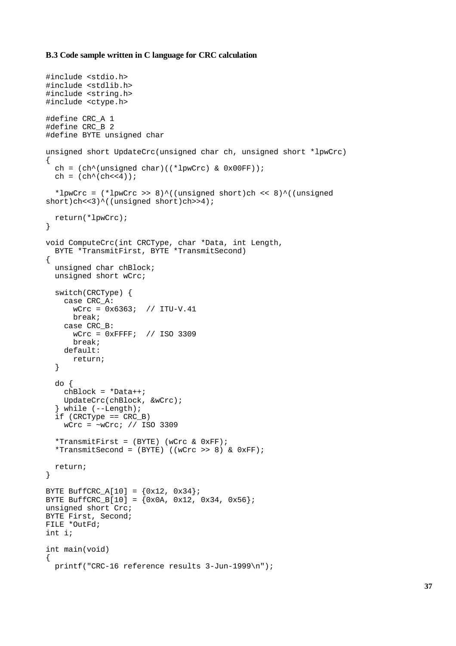#### **B.3 Code sample written in C language for CRC calculation**

```
#include <stdio.h>
#include <stdlib.h>
#include <string.h>
#include <ctype.h>
#define CRC_A 1
#define CRC_B 2
#define BYTE unsigned char
unsigned short UpdateCrc(unsigned char ch, unsigned short *lpwCrc)
{
 ch = (ch^{\wedge}(unsigned char)((*lpwCrc) & 0x00FF));
 ch = (\text{ch}^{\wedge}(\text{ch}<<4));
  *lpwCrc = (*1pwCrc >> 8)^((unsigned short)ch << 8)^((unsigned
short)ch<<3)^((unsigned short)ch>>4);
  return(*lpwCrc);
}
void ComputeCrc(int CRCType, char *Data, int Length,
  BYTE *TransmitFirst, BYTE *TransmitSecond)
{
  unsigned char chBlock;
  unsigned short wCrc;
  switch(CRCType) {
    case CRC_A:
       wCrc = 0x6363; // ITU-V.41
       break;
     case CRC_B:
       wCrc = 0xFFFF; // ISO 3309
       break;
     default:
       return;
   }
   do {
     chBlock = *Data++;
     UpdateCrc(chBlock, &wCrc);
   while (--Length);
   if (CRCType == CRC_B)
    wCrc = -wCrc; // ISO 3309
  *TransmitFirst = (BYTE) (wCrc & 0xFF);
  *TransmitSecond = (BYTE) ((wCrc >> 8) & 0xFF);
  return;
}
BYTE BuffCRC_A[10] = \{0x12, 0x34\};
BYTE BuffCRC_B[10] = (0x0A, 0x12, 0x34, 0x56);
unsigned short Crc;
BYTE First, Second;
FILE *OutFd;
int i;
int main(void)
{
  printf("CRC-16 reference results 3-Jun-1999\n");
```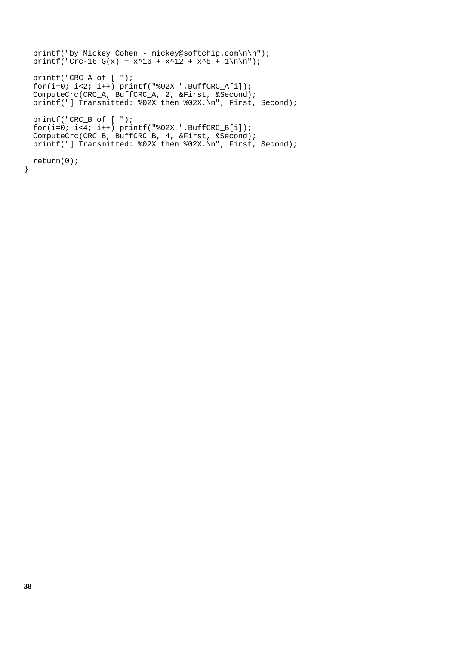```
 printf("by Mickey Cohen - mickey@softchip.com\n\n");
 printf("Crc-16 G(x) = x^16 + x^12 + x^5 + 1\n\times n";
  printf("CRC_A of [ ");
 \bar{f}or(i=0; i<2; i++) printf("%02X ",BuffCRC_A[i]);
 ComputeCrc(CRC_A, BuffCRC_A, 2, &First, &Second);
 printf("] Transmitted: %02X then %02X.\n", First, Second);
  printf("CRC_B of [ ");
 for(i=0; i<4; i++) printf("802X", BuffCRC_B[i]);
  ComputeCrc(CRC_B, BuffCRC_B, 4, &First, &Second);
  printf("] Transmitted: %02X then %02X.\n", First, Second);
  return(0);
```
}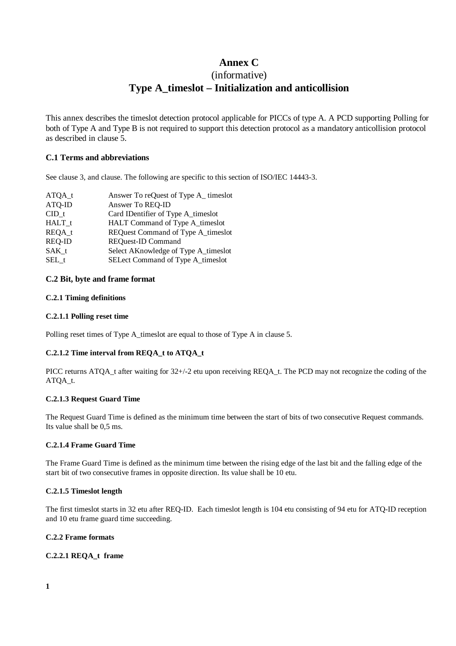# **Annex C**

# (informative) **Type A\_timeslot – Initialization and anticollision**

This annex describes the timeslot detection protocol applicable for PICCs of type A. A PCD supporting Polling for both of Type A and Type B is not required to support this detection protocol as a mandatory anticollision protocol as described in clause 5.

# **C.1 Terms and abbreviations**

See clause 3, and clause. The following are specific to this section of ISO/IEC 14443-3.

| $ATQA_t$      | Answer To reQuest of Type A_timeslot |
|---------------|--------------------------------------|
| ATQ-ID        | Answer To REQ-ID                     |
| CID t         | Card IDentifier of Type A_timeslot   |
| HALT t        | HALT Command of Type A_timeslot      |
| REQA t        | REQuest Command of Type A_timeslot   |
| <b>REQ-ID</b> | <b>REQuest-ID Command</b>            |
| SAK t         | Select AKnowledge of Type A_timeslot |
| SEL t         | SELect Command of Type A_timeslot    |

#### **C.2 Bit, byte and frame format**

#### **C.2.1 Timing definitions**

#### **C.2.1.1 Polling reset time**

Polling reset times of Type A\_timeslot are equal to those of Type A in clause 5.

# **C.2.1.2 Time interval from REQA\_t to ATQA\_t**

PICC returns ATQA\_t after waiting for 32+/-2 etu upon receiving REQA\_t. The PCD may not recognize the coding of the ATQA\_t.

#### **C.2.1.3 Request Guard Time**

The Request Guard Time is defined as the minimum time between the start of bits of two consecutive Request commands. Its value shall be 0,5 ms.

#### **C.2.1.4 Frame Guard Time**

The Frame Guard Time is defined as the minimum time between the rising edge of the last bit and the falling edge of the start bit of two consecutive frames in opposite direction. Its value shall be 10 etu.

#### **C.2.1.5 Timeslot length**

The first timeslot starts in 32 etu after REQ-ID. Each timeslot length is 104 etu consisting of 94 etu for ATQ-ID reception and 10 etu frame guard time succeeding.

#### **C.2.2 Frame formats**

# **C.2.2.1 REQA\_t frame**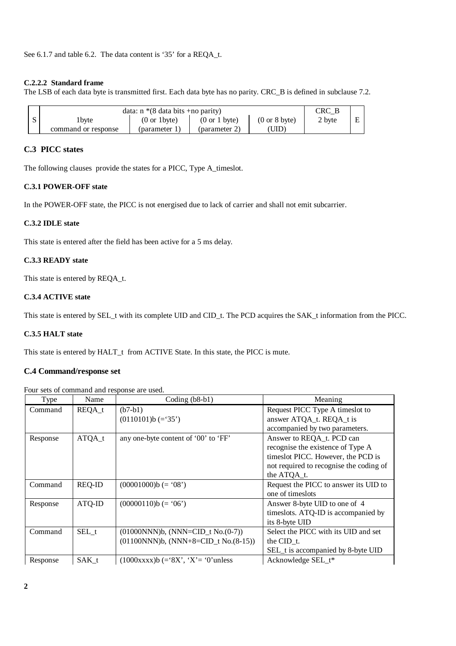See 6.1.7 and table 6.2. The data content is '35' for a REQA\_t.

#### **C.2.2.2 Standard frame**

The LSB of each data byte is transmitted first. Each data byte has no parity. CRC\_B is defined in subclause 7.2.

|                     | data: $n*(8)$ data bits +no parity) |                                  |                                  | CRC B  |   |
|---------------------|-------------------------------------|----------------------------------|----------------------------------|--------|---|
| 1 byte              | $(0 \text{ or } 1$ byte)            | $(0 \text{ or } 1 \text{ byte})$ | $(0 \text{ or } 8 \text{ byte})$ | 2 byte | Ε |
| command or response | (parameter $\overline{1}$ .         | (parameter 2)                    | UID)                             |        |   |

# **C.3 PICC states**

The following clauses provide the states for a PICC, Type A\_timeslot.

#### **C.3.1 POWER-OFF state**

In the POWER-OFF state, the PICC is not energised due to lack of carrier and shall not emit subcarrier.

#### **C.3.2 IDLE state**

This state is entered after the field has been active for a 5 ms delay.

#### **C.3.3 READY state**

This state is entered by REQA\_t.

#### **C.3.4 ACTIVE state**

This state is entered by SEL\_t with its complete UID and CID\_t. The PCD acquires the SAK\_t information from the PICC.

# **C.3.5 HALT state**

This state is entered by HALT\_t from ACTIVE State. In this state, the PICC is mute.

### **C.4 Command/response set**

Four sets of command and response are used.

| Type     | Name          | Coding $(b8-b1)$                          | Meaning                                 |
|----------|---------------|-------------------------------------------|-----------------------------------------|
| Command  | REQA_t        | $(b7-b1)$                                 | Request PICC Type A timeslot to         |
|          |               | $(0110101)b (=35')$                       | answer ATQA_t. REQA_t is                |
|          |               |                                           | accompanied by two parameters.          |
| Response | $ATQA_t$      | any one-byte content of '00' to 'FF'      | Answer to REQA_t. PCD can               |
|          |               |                                           | recognise the existence of Type A       |
|          |               |                                           | times ot PICC. However, the PCD is      |
|          |               |                                           | not required to recognise the coding of |
|          |               |                                           | the ATQA_t.                             |
| Command  | <b>REQ-ID</b> | $(00001000)$ b $(= '08')$                 | Request the PICC to answer its UID to   |
|          |               |                                           | one of times lots                       |
| Response | ATQ-ID        | $(00000110)b (= '06')$                    | Answer 8-byte UID to one of 4           |
|          |               |                                           | timeslots. ATQ-ID is accompanied by     |
|          |               |                                           | its 8-byte UID                          |
| Command  | SEL t         | $(01000NNN)b$ , $(NNN=CID_t No.(0-7))$    | Select the PICC with its UID and set    |
|          |               | $(01100NNN)b$ , $(NNN+8=CID t No.(8-15))$ | the CID $t$ .                           |
|          |               |                                           | SEL_t is accompanied by 8-byte UID      |
| Response | SAK t         | $(1000xxxx)$ b $(= 8X', Y = 0'$ unless    | Acknowledge SEL t*                      |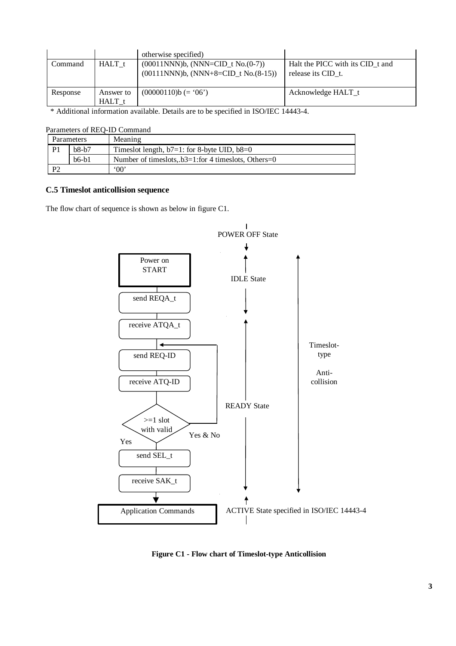|                                                                 |                   | otherwise specified)                                                                                                                                                                                                                                                                                                                                                        |                                  |
|-----------------------------------------------------------------|-------------------|-----------------------------------------------------------------------------------------------------------------------------------------------------------------------------------------------------------------------------------------------------------------------------------------------------------------------------------------------------------------------------|----------------------------------|
| Command                                                         | HALT t            | $(00011NNN)b$ , $(NNN=CID t No.(0-7))$                                                                                                                                                                                                                                                                                                                                      | Halt the PICC with its CID t and |
|                                                                 |                   | $(00111NNN)b$ , $(NNN+8=CID t No.(8-15))$                                                                                                                                                                                                                                                                                                                                   | release its CID t.               |
| Response                                                        | Answer to         | $(00000110)$ b (= '06')                                                                                                                                                                                                                                                                                                                                                     | Acknowledge HALT t               |
|                                                                 | HALT <sub>t</sub> |                                                                                                                                                                                                                                                                                                                                                                             |                                  |
| $\mathbf{u}$ and $\mathbf{u}$ and $\mathbf{u}$ and $\mathbf{u}$ |                   | $TCA \cap TCA \cup 11121$<br>$\mathbf{1}$ $\mathbf{1}$ $\mathbf{1}$ $\mathbf{1}$ $\mathbf{1}$ $\mathbf{1}$ $\mathbf{1}$ $\mathbf{1}$ $\mathbf{1}$ $\mathbf{1}$ $\mathbf{1}$ $\mathbf{1}$ $\mathbf{1}$ $\mathbf{1}$ $\mathbf{1}$ $\mathbf{1}$ $\mathbf{1}$ $\mathbf{1}$ $\mathbf{1}$ $\mathbf{1}$ $\mathbf{1}$ $\mathbf{1}$ $\mathbf{1}$ $\mathbf{1}$ $\mathbf{$<br>$\cdots$ |                                  |

\* Additional information available. Details are to be specified in ISO/IEC 14443-4.

|  |  | Parameters of REQ-ID Command |  |
|--|--|------------------------------|--|
|--|--|------------------------------|--|

|                       | Parameters | Meaning                                                   |
|-----------------------|------------|-----------------------------------------------------------|
| P <sub>1</sub>        | $b8-b7$    | Timeslot length, $b7=1$ : for 8-byte UID, $b8=0$          |
|                       | $b6-h1$    | Number of times lots, $b3=1$ : for 4 times lots, Others=0 |
| $\mathbf{p}^{\prime}$ |            | $00^{\circ}$                                              |

### **C.5 Timeslot anticollision sequence**

The flow chart of sequence is shown as below in figure C1.



**Figure C1 - Flow chart of Timeslot-type Anticollision**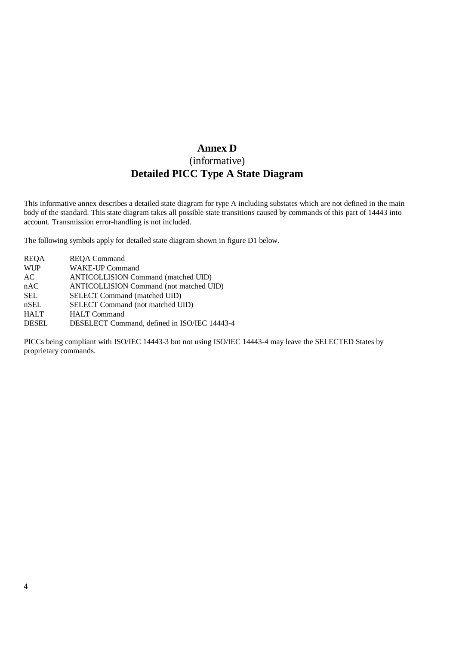# **Annex D** (informative) **Detailed PICC Type A State Diagram**

This informative annex describes a detailed state diagram for type A including substates which are not defined in the main body of the standard. This state diagram takes all possible state transitions caused by commands of this part of 14443 into account. Transmission error-handling is not included.

The following symbols apply for detailed state diagram shown in figure D1 below.

| <b>REQA</b>  | <b>REQA Command</b>                          |
|--------------|----------------------------------------------|
| <b>WUP</b>   | <b>WAKE-UP Command</b>                       |
| AC           | <b>ANTICOLLISION Command (matched UID)</b>   |
| nAC          | ANTICOLLISION Command (not matched UID)      |
| <b>SEL</b>   | SELECT Command (matched UID)                 |
| nSEL         | SELECT Command (not matched UID)             |
| <b>HALT</b>  | <b>HALT</b> Command                          |
| <b>DESEL</b> | DESELECT Command, defined in ISO/IEC 14443-4 |

PICCs being compliant with ISO/IEC 14443-3 but not using ISO/IEC 14443-4 may leave the SELECTED States by proprietary commands.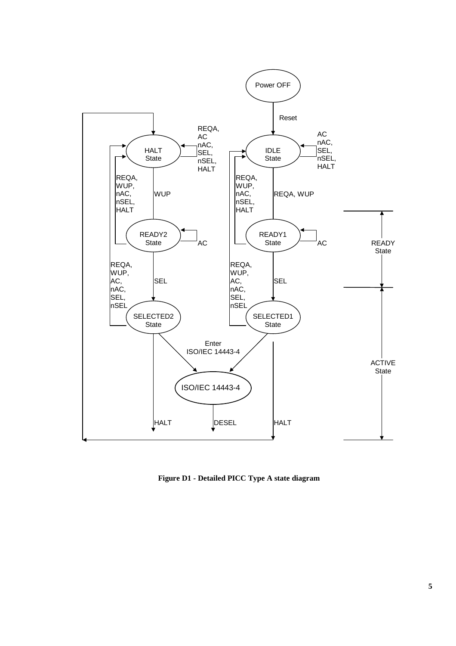

**Figure D1 - Detailed PICC Type A state diagram**